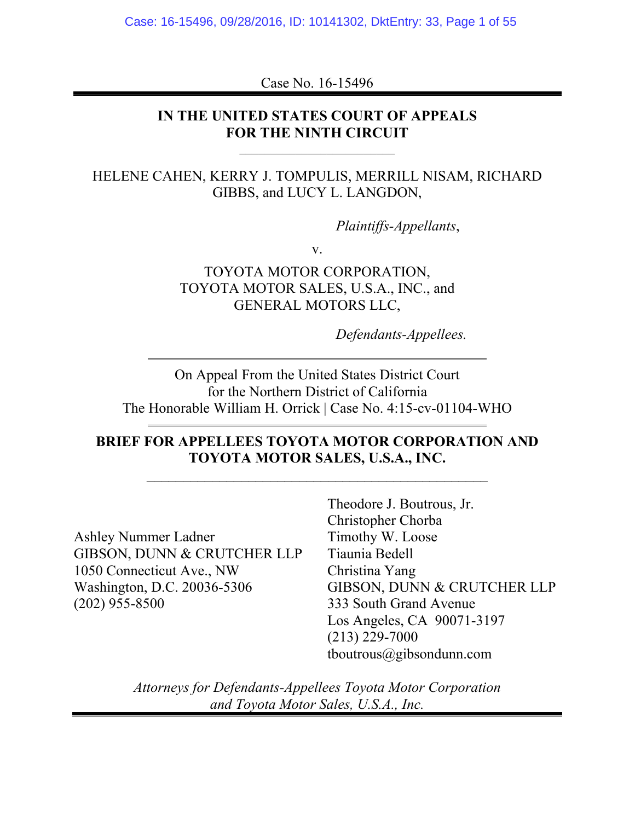Case No. 16-15496

## **IN THE UNITED STATES COURT OF APPEALS FOR THE NINTH CIRCUIT**

## HELENE CAHEN, KERRY J. TOMPULIS, MERRILL NISAM, RICHARD GIBBS, and LUCY L. LANGDON,

*Plaintiffs-Appellants*,

v.

TOYOTA MOTOR CORPORATION, TOYOTA MOTOR SALES, U.S.A., INC., and GENERAL MOTORS LLC,

*Defendants-Appellees.*

On Appeal From the United States District Court for the Northern District of California The Honorable William H. Orrick | Case No. 4:15-cv-01104-WHO

## **BRIEF FOR APPELLEES TOYOTA MOTOR CORPORATION AND TOYOTA MOTOR SALES, U.S.A., INC.**

Ashley Nummer Ladner GIBSON, DUNN & CRUTCHER LLP 1050 Connecticut Ave., NW Washington, D.C. 20036-5306 (202) 955-8500

Theodore J. Boutrous, Jr. Christopher Chorba Timothy W. Loose Tiaunia Bedell Christina Yang GIBSON, DUNN & CRUTCHER LLP 333 South Grand Avenue Los Angeles, CA 90071-3197 (213) 229-7000 tboutrous@gibsondunn.com

*Attorneys for Defendants-Appellees Toyota Motor Corporation and Toyota Motor Sales, U.S.A., Inc.*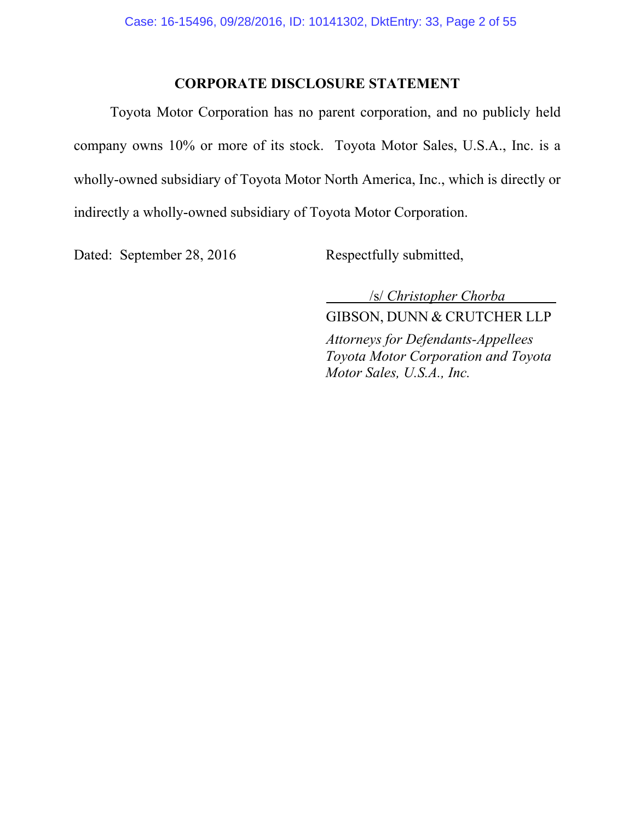## **CORPORATE DISCLOSURE STATEMENT**

Toyota Motor Corporation has no parent corporation, and no publicly held company owns 10% or more of its stock. Toyota Motor Sales, U.S.A., Inc. is a wholly-owned subsidiary of Toyota Motor North America, Inc., which is directly or indirectly a wholly-owned subsidiary of Toyota Motor Corporation.

Dated: September 28, 2016 Respectfully submitted,

 /s/ *Christopher Chorba* GIBSON, DUNN & CRUTCHER LLP

*Attorneys for Defendants-Appellees Toyota Motor Corporation and Toyota Motor Sales, U.S.A., Inc.*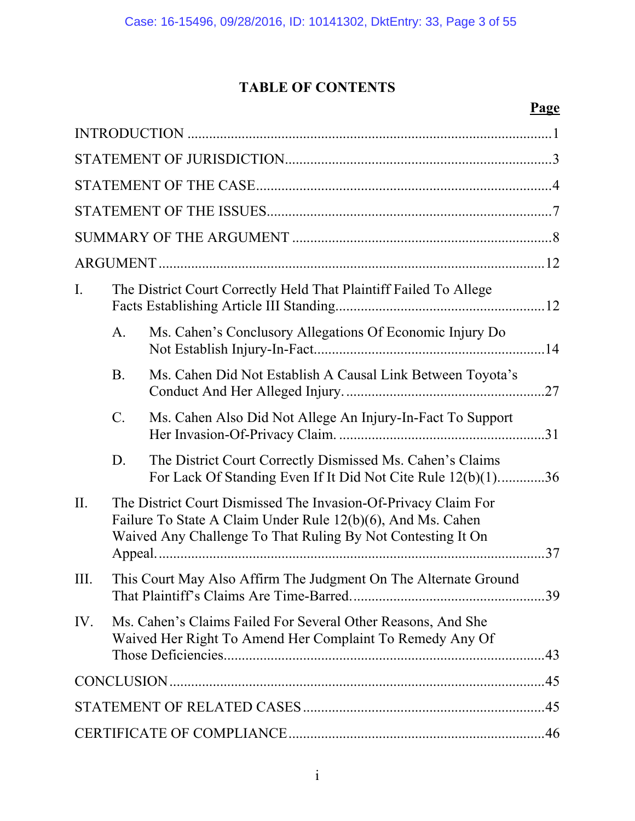# **TABLE OF CONTENTS**

# **Page**

| Ι.   |                                                                                                                                                                                              | The District Court Correctly Held That Plaintiff Failed To Allege                                                         |  |
|------|----------------------------------------------------------------------------------------------------------------------------------------------------------------------------------------------|---------------------------------------------------------------------------------------------------------------------------|--|
|      | A.                                                                                                                                                                                           | Ms. Cahen's Conclusory Allegations Of Economic Injury Do                                                                  |  |
|      | <b>B.</b>                                                                                                                                                                                    | Ms. Cahen Did Not Establish A Causal Link Between Toyota's                                                                |  |
|      | $C_{\cdot}$                                                                                                                                                                                  | Ms. Cahen Also Did Not Allege An Injury-In-Fact To Support                                                                |  |
|      | D.                                                                                                                                                                                           | The District Court Correctly Dismissed Ms. Cahen's Claims<br>For Lack Of Standing Even If It Did Not Cite Rule 12(b)(1)36 |  |
| II.  | The District Court Dismissed The Invasion-Of-Privacy Claim For<br>Failure To State A Claim Under Rule 12(b)(6), And Ms. Cahen<br>Waived Any Challenge To That Ruling By Not Contesting It On |                                                                                                                           |  |
| III. |                                                                                                                                                                                              | This Court May Also Affirm The Judgment On The Alternate Ground                                                           |  |
| IV.  |                                                                                                                                                                                              | Ms. Cahen's Claims Failed For Several Other Reasons, And She<br>Waived Her Right To Amend Her Complaint To Remedy Any Of  |  |
|      |                                                                                                                                                                                              |                                                                                                                           |  |
|      |                                                                                                                                                                                              |                                                                                                                           |  |
|      |                                                                                                                                                                                              |                                                                                                                           |  |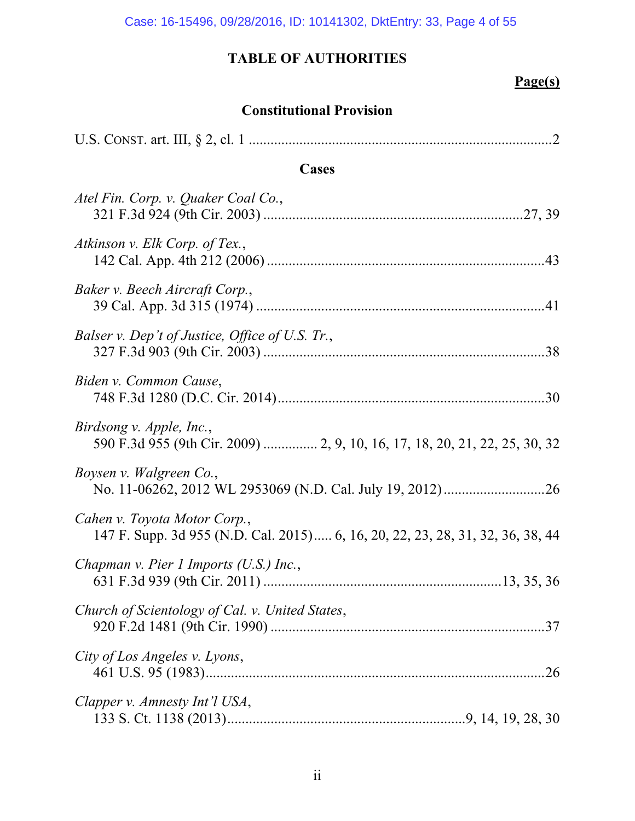# **Page(s)**

## **Constitutional Provision**

| Cases                                                                                                          |
|----------------------------------------------------------------------------------------------------------------|
| Atel Fin. Corp. v. Quaker Coal Co.,                                                                            |
| Atkinson v. Elk Corp. of Tex.,                                                                                 |
| Baker v. Beech Aircraft Corp.,                                                                                 |
| Balser v. Dep't of Justice, Office of U.S. Tr.,                                                                |
| Biden v. Common Cause,                                                                                         |
| Birdsong v. Apple, Inc.,<br>590 F.3d 955 (9th Cir. 2009)  2, 9, 10, 16, 17, 18, 20, 21, 22, 25, 30, 32         |
| Boysen v. Walgreen Co.,                                                                                        |
| Cahen v. Toyota Motor Corp.,<br>147 F. Supp. 3d 955 (N.D. Cal. 2015) 6, 16, 20, 22, 23, 28, 31, 32, 36, 38, 44 |
| Chapman v. Pier 1 Imports $(U.S.)$ Inc.,                                                                       |
| Church of Scientology of Cal. v. United States,                                                                |
| City of Los Angeles v. Lyons,                                                                                  |
| Clapper v. Amnesty Int'l USA,                                                                                  |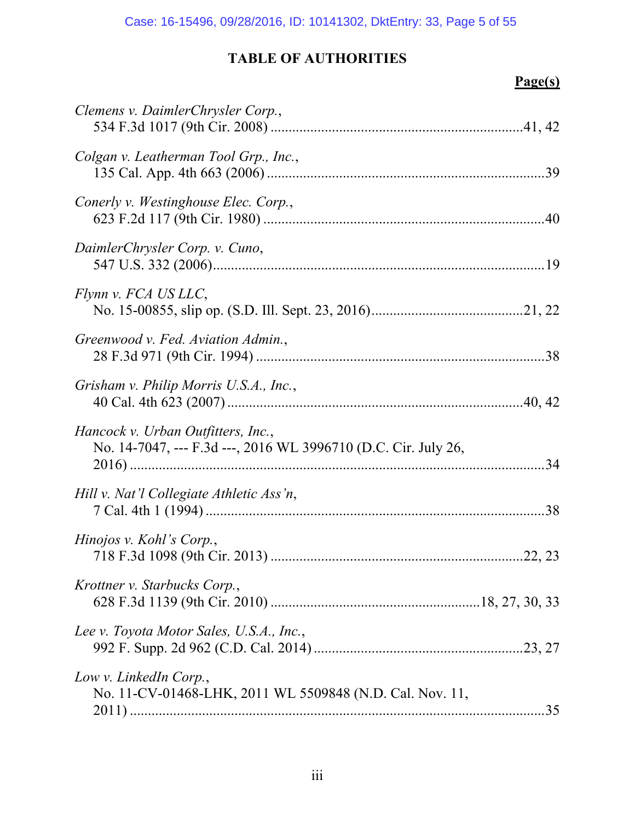# **Page(s)**

| Clemens v. DaimlerChrysler Corp.,                                                                    |
|------------------------------------------------------------------------------------------------------|
| Colgan v. Leatherman Tool Grp., Inc.,                                                                |
| Conerly v. Westinghouse Elec. Corp.,                                                                 |
| DaimlerChrysler Corp. v. Cuno,                                                                       |
| Flynn v. FCA US LLC,                                                                                 |
| Greenwood v. Fed. Aviation Admin.,                                                                   |
| Grisham v. Philip Morris U.S.A., Inc.,                                                               |
| Hancock v. Urban Outfitters, Inc.,<br>No. 14-7047, --- F.3d ---, 2016 WL 3996710 (D.C. Cir. July 26, |
| Hill v. Nat'l Collegiate Athletic Ass'n,                                                             |
| Hinojos v. Kohl's Corp.,                                                                             |
| Krottner v. Starbucks Corp.,                                                                         |
| Lee v. Toyota Motor Sales, U.S.A., Inc.,                                                             |
| Low v. LinkedIn Corp.,<br>No. 11-CV-01468-LHK, 2011 WL 5509848 (N.D. Cal. Nov. 11,<br>.35            |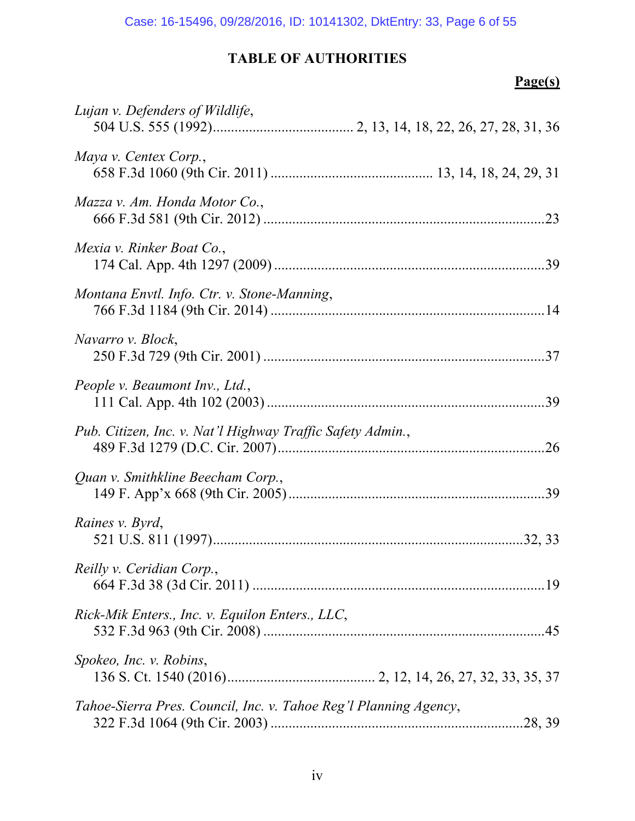# **Page(s)**

| Lujan v. Defenders of Wildlife,                                  |
|------------------------------------------------------------------|
| Maya v. Centex Corp.,                                            |
| Mazza v. Am. Honda Motor Co.,                                    |
| Mexia v. Rinker Boat Co.,                                        |
| Montana Envtl. Info. Ctr. v. Stone-Manning,                      |
| Navarro v. Block,                                                |
| People v. Beaumont Inv., Ltd.,                                   |
| Pub. Citizen, Inc. v. Nat'l Highway Traffic Safety Admin.,       |
| Quan v. Smithkline Beecham Corp.,                                |
| Raines v. Byrd,                                                  |
| Reilly v. Ceridian Corp.,                                        |
| Rick-Mik Enters., Inc. v. Equilon Enters., LLC,                  |
| Spokeo, Inc. v. Robins,                                          |
| Tahoe-Sierra Pres. Council, Inc. v. Tahoe Reg'l Planning Agency, |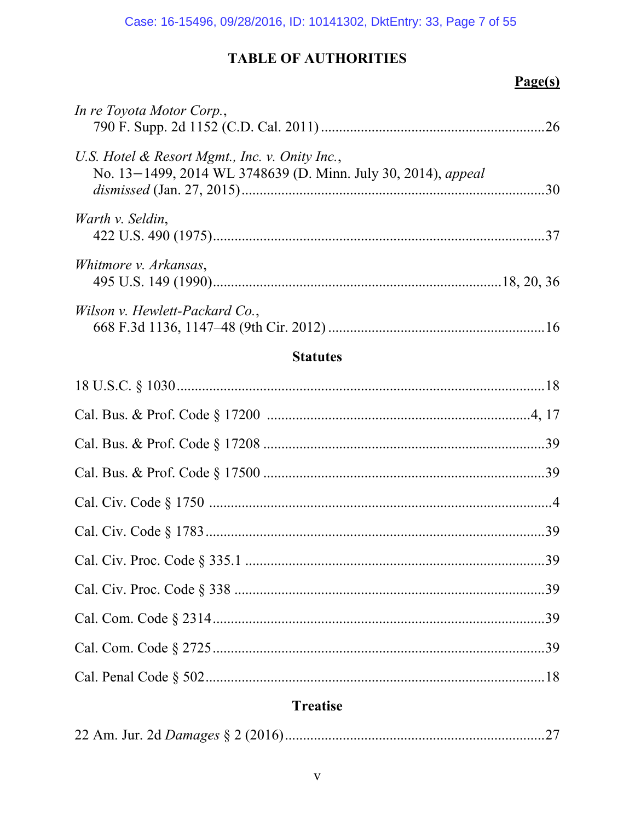# $Page(s)$

| In re Toyota Motor Corp.,                                                                                       |  |
|-----------------------------------------------------------------------------------------------------------------|--|
| U.S. Hotel & Resort Mgmt., Inc. v. Onity Inc.,<br>No. 13-1499, 2014 WL 3748639 (D. Minn. July 30, 2014), appeal |  |
| Warth v. Seldin,                                                                                                |  |
| Whitmore v. Arkansas,                                                                                           |  |
| Wilson v. Hewlett-Packard Co.,                                                                                  |  |

## **Statutes**

# **Treatise**

|--|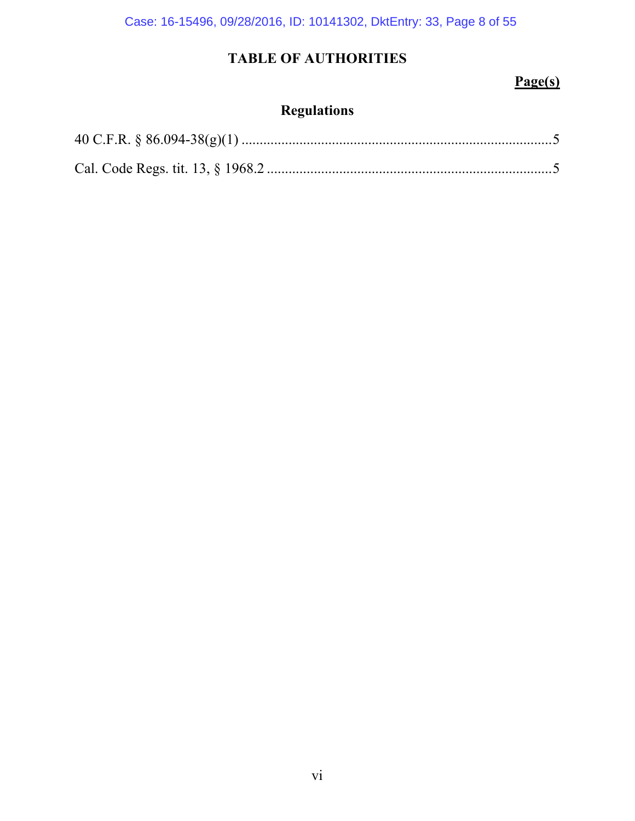Case: 16-15496, 09/28/2016, ID: 10141302, DktEntry: 33, Page 8 of 55

# **TABLE OF AUTHORITIES**

## **Page(s)**

# **Regulations**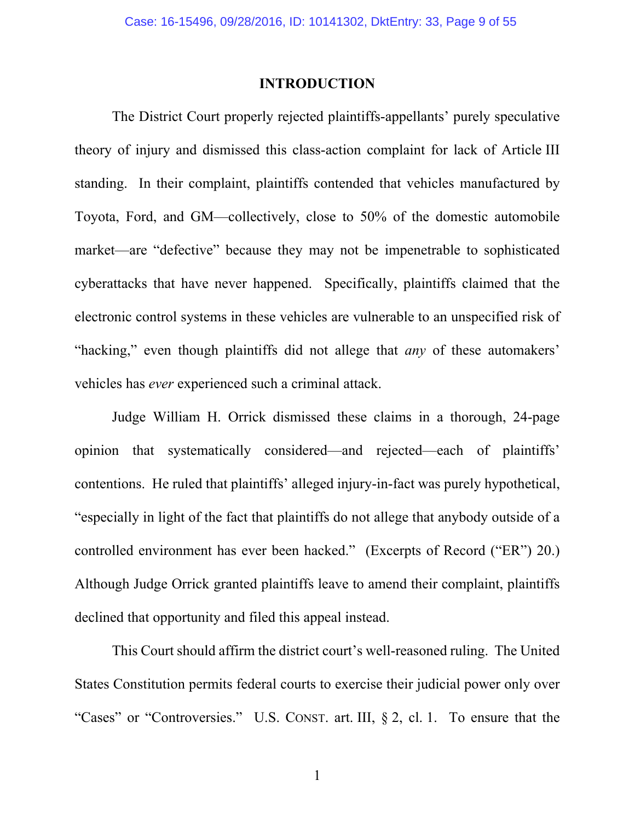### **INTRODUCTION**

The District Court properly rejected plaintiffs-appellants' purely speculative theory of injury and dismissed this class-action complaint for lack of Article III standing. In their complaint, plaintiffs contended that vehicles manufactured by Toyota, Ford, and GM—collectively, close to 50% of the domestic automobile market—are "defective" because they may not be impenetrable to sophisticated cyberattacks that have never happened. Specifically, plaintiffs claimed that the electronic control systems in these vehicles are vulnerable to an unspecified risk of "hacking," even though plaintiffs did not allege that *any* of these automakers' vehicles has *ever* experienced such a criminal attack.

Judge William H. Orrick dismissed these claims in a thorough, 24-page opinion that systematically considered—and rejected—each of plaintiffs' contentions. He ruled that plaintiffs' alleged injury-in-fact was purely hypothetical, "especially in light of the fact that plaintiffs do not allege that anybody outside of a controlled environment has ever been hacked." (Excerpts of Record ("ER") 20.) Although Judge Orrick granted plaintiffs leave to amend their complaint, plaintiffs declined that opportunity and filed this appeal instead.

This Court should affirm the district court's well-reasoned ruling. The United States Constitution permits federal courts to exercise their judicial power only over "Cases" or "Controversies." U.S. CONST. art. III, § 2, cl. 1. To ensure that the

1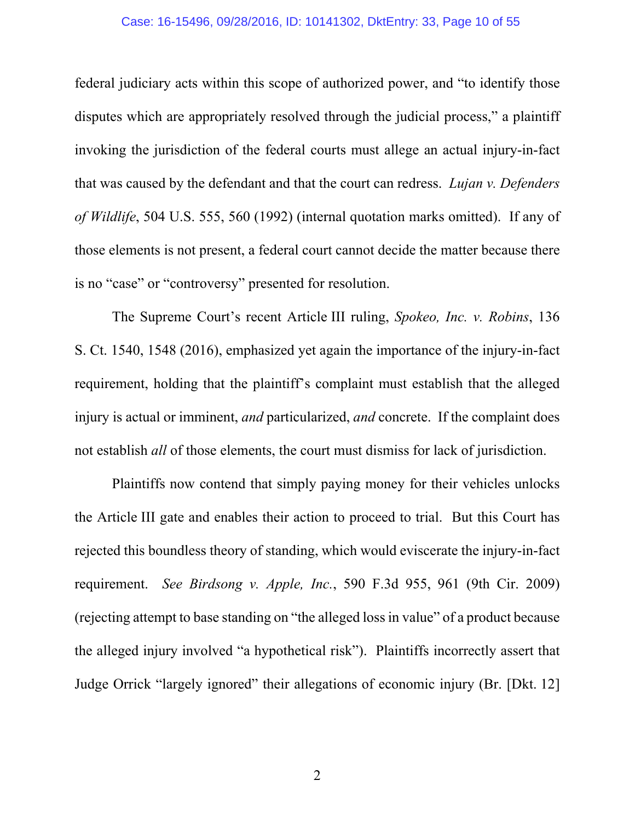#### Case: 16-15496, 09/28/2016, ID: 10141302, DktEntry: 33, Page 10 of 55

federal judiciary acts within this scope of authorized power, and "to identify those disputes which are appropriately resolved through the judicial process," a plaintiff invoking the jurisdiction of the federal courts must allege an actual injury-in-fact that was caused by the defendant and that the court can redress. *Lujan v. Defenders of Wildlife*, 504 U.S. 555, 560 (1992) (internal quotation marks omitted). If any of those elements is not present, a federal court cannot decide the matter because there is no "case" or "controversy" presented for resolution.

The Supreme Court's recent Article III ruling, *Spokeo, Inc. v. Robins*, 136 S. Ct. 1540, 1548 (2016), emphasized yet again the importance of the injury-in-fact requirement, holding that the plaintiff's complaint must establish that the alleged injury is actual or imminent, *and* particularized, *and* concrete. If the complaint does not establish *all* of those elements, the court must dismiss for lack of jurisdiction.

Plaintiffs now contend that simply paying money for their vehicles unlocks the Article III gate and enables their action to proceed to trial. But this Court has rejected this boundless theory of standing, which would eviscerate the injury-in-fact requirement. *See Birdsong v. Apple, Inc.*, 590 F.3d 955, 961 (9th Cir. 2009) (rejecting attempt to base standing on "the alleged loss in value" of a product because the alleged injury involved "a hypothetical risk"). Plaintiffs incorrectly assert that Judge Orrick "largely ignored" their allegations of economic injury (Br. [Dkt. 12]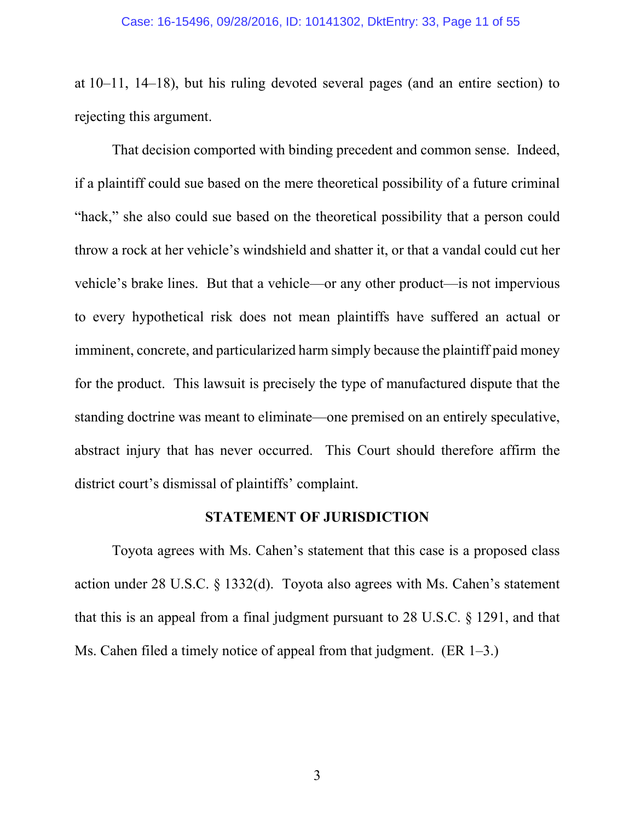at 10–11, 14–18), but his ruling devoted several pages (and an entire section) to rejecting this argument.

That decision comported with binding precedent and common sense. Indeed, if a plaintiff could sue based on the mere theoretical possibility of a future criminal "hack," she also could sue based on the theoretical possibility that a person could throw a rock at her vehicle's windshield and shatter it, or that a vandal could cut her vehicle's brake lines. But that a vehicle—or any other product—is not impervious to every hypothetical risk does not mean plaintiffs have suffered an actual or imminent, concrete, and particularized harm simply because the plaintiff paid money for the product. This lawsuit is precisely the type of manufactured dispute that the standing doctrine was meant to eliminate—one premised on an entirely speculative, abstract injury that has never occurred. This Court should therefore affirm the district court's dismissal of plaintiffs' complaint.

### **STATEMENT OF JURISDICTION**

Toyota agrees with Ms. Cahen's statement that this case is a proposed class action under 28 U.S.C. § 1332(d). Toyota also agrees with Ms. Cahen's statement that this is an appeal from a final judgment pursuant to 28 U.S.C. § 1291, and that Ms. Cahen filed a timely notice of appeal from that judgment. (ER 1–3.)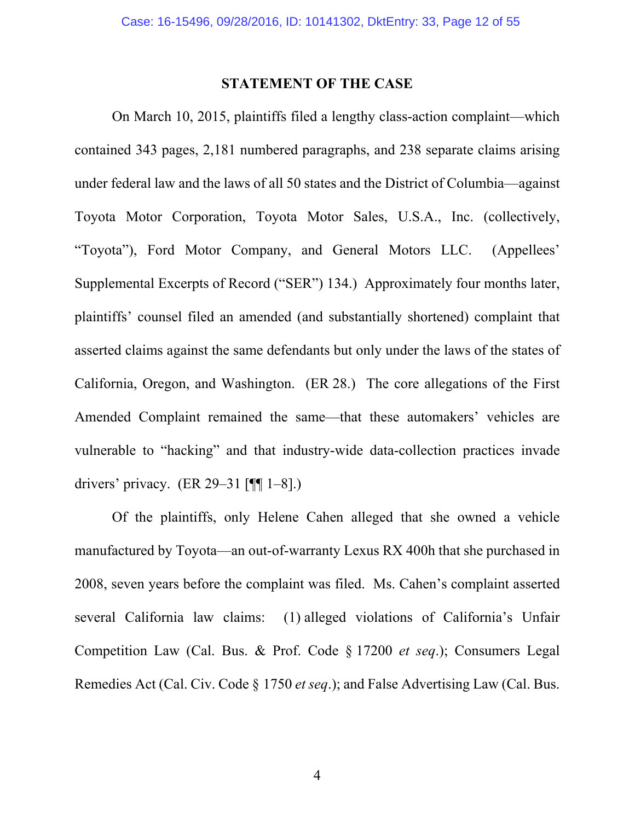### **STATEMENT OF THE CASE**

On March 10, 2015, plaintiffs filed a lengthy class-action complaint—which contained 343 pages, 2,181 numbered paragraphs, and 238 separate claims arising under federal law and the laws of all 50 states and the District of Columbia—against Toyota Motor Corporation, Toyota Motor Sales, U.S.A., Inc. (collectively, "Toyota"), Ford Motor Company, and General Motors LLC. (Appellees' Supplemental Excerpts of Record ("SER") 134.) Approximately four months later, plaintiffs' counsel filed an amended (and substantially shortened) complaint that asserted claims against the same defendants but only under the laws of the states of California, Oregon, and Washington. (ER 28.) The core allegations of the First Amended Complaint remained the same—that these automakers' vehicles are vulnerable to "hacking" and that industry-wide data-collection practices invade drivers' privacy. (ER 29–31  $[$ ¶ 1–8].)

Of the plaintiffs, only Helene Cahen alleged that she owned a vehicle manufactured by Toyota—an out-of-warranty Lexus RX 400h that she purchased in 2008, seven years before the complaint was filed. Ms. Cahen's complaint asserted several California law claims: (1) alleged violations of California's Unfair Competition Law (Cal. Bus. & Prof. Code § 17200 *et seq*.); Consumers Legal Remedies Act (Cal. Civ. Code § 1750 *et seq*.); and False Advertising Law (Cal. Bus.

4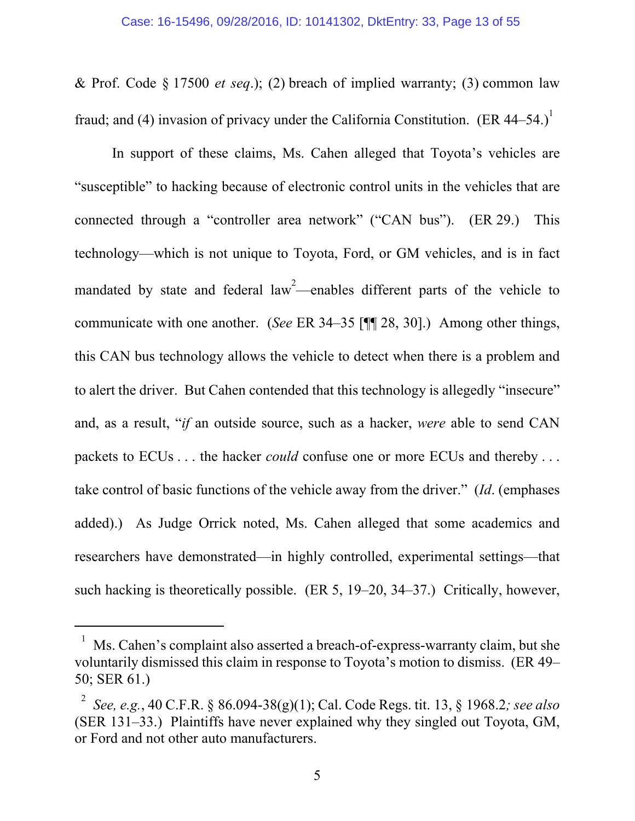& Prof. Code § 17500 *et seq*.); (2) breach of implied warranty; (3) common law fraud; and (4) invasion of privacy under the California Constitution. (ER 44–54.)<sup>1</sup>

In support of these claims, Ms. Cahen alleged that Toyota's vehicles are "susceptible" to hacking because of electronic control units in the vehicles that are connected through a "controller area network" ("CAN bus"). (ER 29.) This technology—which is not unique to Toyota, Ford, or GM vehicles, and is in fact mandated by state and federal law<sup>2</sup>—enables different parts of the vehicle to communicate with one another. (*See* ER 34–35 [¶¶ 28, 30].) Among other things, this CAN bus technology allows the vehicle to detect when there is a problem and to alert the driver. But Cahen contended that this technology is allegedly "insecure" and, as a result, "*if* an outside source, such as a hacker, *were* able to send CAN packets to ECUs . . . the hacker *could* confuse one or more ECUs and thereby . . . take control of basic functions of the vehicle away from the driver." (*Id*. (emphases added).) As Judge Orrick noted, Ms. Cahen alleged that some academics and researchers have demonstrated—in highly controlled, experimental settings—that such hacking is theoretically possible. (ER 5, 19–20, 34–37.) Critically, however,

 $\overline{a}$ 

 $1$  Ms. Cahen's complaint also asserted a breach-of-express-warranty claim, but she voluntarily dismissed this claim in response to Toyota's motion to dismiss. (ER 49– 50; SER 61.)

<sup>2</sup> *See, e.g.*, 40 C.F.R. § 86.094-38(g)(1); Cal. Code Regs. tit. 13, § 1968.2*; see also* (SER 131–33.) Plaintiffs have never explained why they singled out Toyota, GM, or Ford and not other auto manufacturers.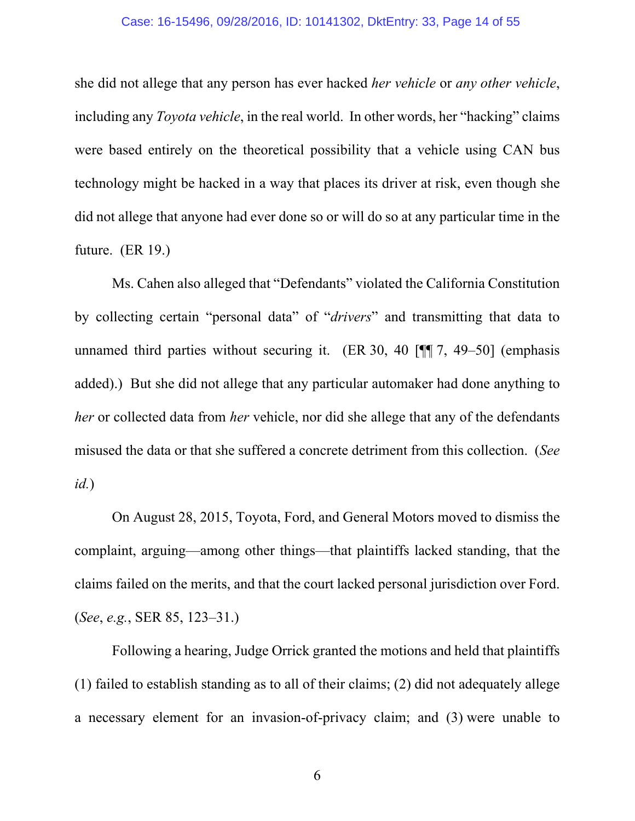#### Case: 16-15496, 09/28/2016, ID: 10141302, DktEntry: 33, Page 14 of 55

she did not allege that any person has ever hacked *her vehicle* or *any other vehicle*, including any *Toyota vehicle*, in the real world. In other words, her "hacking" claims were based entirely on the theoretical possibility that a vehicle using CAN bus technology might be hacked in a way that places its driver at risk, even though she did not allege that anyone had ever done so or will do so at any particular time in the future. (ER 19.)

Ms. Cahen also alleged that "Defendants" violated the California Constitution by collecting certain "personal data" of "*drivers*" and transmitting that data to unnamed third parties without securing it. (ER 30, 40 [¶ 7, 49–50] (emphasis added).) But she did not allege that any particular automaker had done anything to *her* or collected data from *her* vehicle, nor did she allege that any of the defendants misused the data or that she suffered a concrete detriment from this collection. (*See id.*)

On August 28, 2015, Toyota, Ford, and General Motors moved to dismiss the complaint, arguing—among other things—that plaintiffs lacked standing, that the claims failed on the merits, and that the court lacked personal jurisdiction over Ford. (*See*, *e.g.*, SER 85, 123–31.)

Following a hearing, Judge Orrick granted the motions and held that plaintiffs (1) failed to establish standing as to all of their claims; (2) did not adequately allege a necessary element for an invasion-of-privacy claim; and (3) were unable to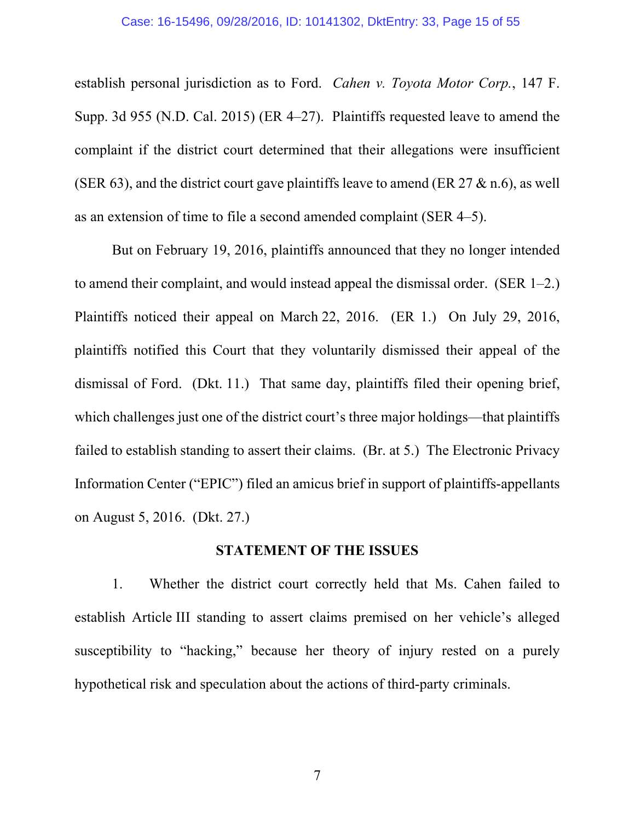establish personal jurisdiction as to Ford. *Cahen v. Toyota Motor Corp.*, 147 F. Supp. 3d 955 (N.D. Cal. 2015) (ER 4–27). Plaintiffs requested leave to amend the complaint if the district court determined that their allegations were insufficient (SER 63), and the district court gave plaintiffs leave to amend (ER  $27 \& n.6$ ), as well as an extension of time to file a second amended complaint (SER 4–5).

But on February 19, 2016, plaintiffs announced that they no longer intended to amend their complaint, and would instead appeal the dismissal order. (SER 1–2.) Plaintiffs noticed their appeal on March 22, 2016. (ER 1.) On July 29, 2016, plaintiffs notified this Court that they voluntarily dismissed their appeal of the dismissal of Ford. (Dkt. 11.) That same day, plaintiffs filed their opening brief, which challenges just one of the district court's three major holdings—that plaintiffs failed to establish standing to assert their claims. (Br. at 5.) The Electronic Privacy Information Center ("EPIC") filed an amicus brief in support of plaintiffs-appellants on August 5, 2016. (Dkt. 27.)

### **STATEMENT OF THE ISSUES**

1. Whether the district court correctly held that Ms. Cahen failed to establish Article III standing to assert claims premised on her vehicle's alleged susceptibility to "hacking," because her theory of injury rested on a purely hypothetical risk and speculation about the actions of third-party criminals.

7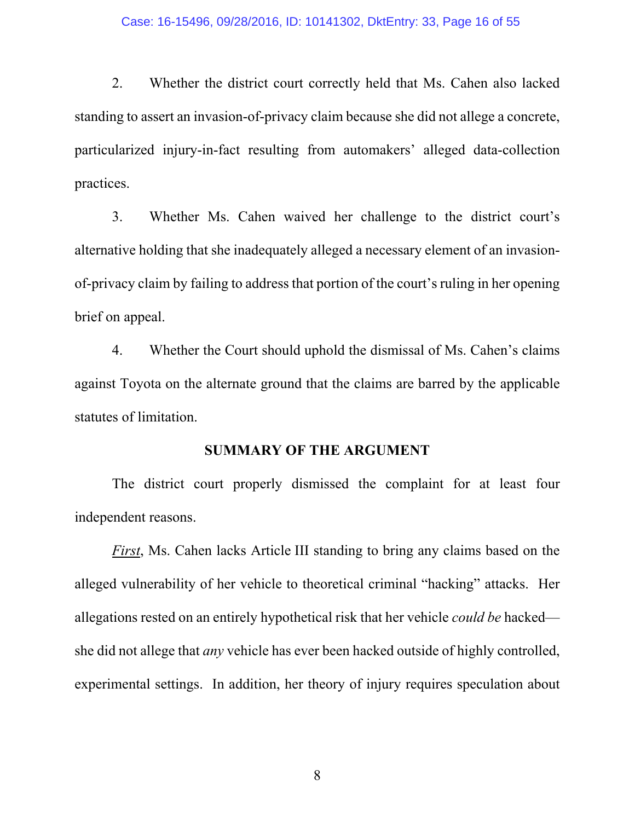#### Case: 16-15496, 09/28/2016, ID: 10141302, DktEntry: 33, Page 16 of 55

2. Whether the district court correctly held that Ms. Cahen also lacked standing to assert an invasion-of-privacy claim because she did not allege a concrete, particularized injury-in-fact resulting from automakers' alleged data-collection practices.

3. Whether Ms. Cahen waived her challenge to the district court's alternative holding that she inadequately alleged a necessary element of an invasionof-privacy claim by failing to address that portion of the court's ruling in her opening brief on appeal.

4. Whether the Court should uphold the dismissal of Ms. Cahen's claims against Toyota on the alternate ground that the claims are barred by the applicable statutes of limitation.

### **SUMMARY OF THE ARGUMENT**

The district court properly dismissed the complaint for at least four independent reasons.

*First*, Ms. Cahen lacks Article III standing to bring any claims based on the alleged vulnerability of her vehicle to theoretical criminal "hacking" attacks. Her allegations rested on an entirely hypothetical risk that her vehicle *could be* hacked she did not allege that *any* vehicle has ever been hacked outside of highly controlled, experimental settings. In addition, her theory of injury requires speculation about

8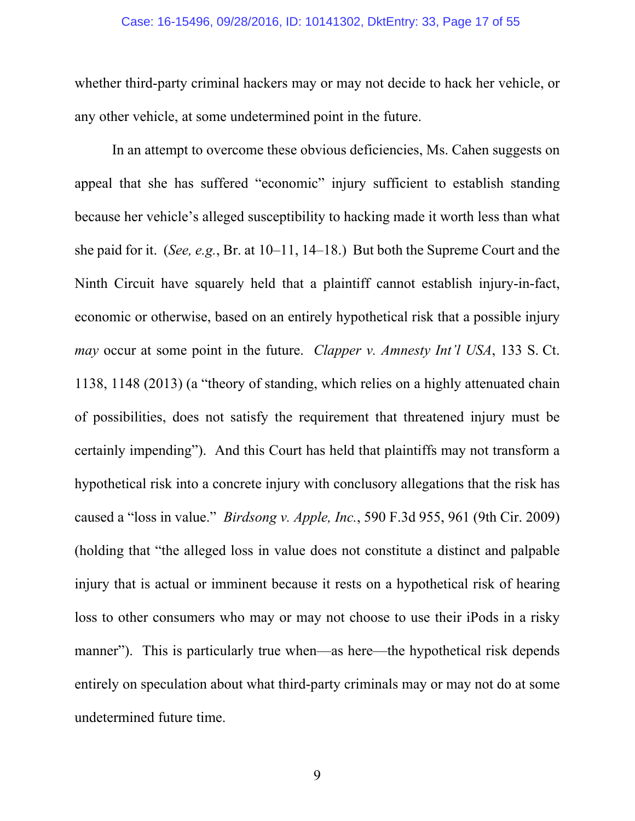#### Case: 16-15496, 09/28/2016, ID: 10141302, DktEntry: 33, Page 17 of 55

whether third-party criminal hackers may or may not decide to hack her vehicle, or any other vehicle, at some undetermined point in the future.

In an attempt to overcome these obvious deficiencies, Ms. Cahen suggests on appeal that she has suffered "economic" injury sufficient to establish standing because her vehicle's alleged susceptibility to hacking made it worth less than what she paid for it. (*See, e.g.*, Br. at 10–11, 14–18.) But both the Supreme Court and the Ninth Circuit have squarely held that a plaintiff cannot establish injury-in-fact, economic or otherwise, based on an entirely hypothetical risk that a possible injury *may* occur at some point in the future. *Clapper v. Amnesty Int'l USA*, 133 S. Ct. 1138, 1148 (2013) (a "theory of standing, which relies on a highly attenuated chain of possibilities, does not satisfy the requirement that threatened injury must be certainly impending"). And this Court has held that plaintiffs may not transform a hypothetical risk into a concrete injury with conclusory allegations that the risk has caused a "loss in value." *Birdsong v. Apple, Inc.*, 590 F.3d 955, 961 (9th Cir. 2009) (holding that "the alleged loss in value does not constitute a distinct and palpable injury that is actual or imminent because it rests on a hypothetical risk of hearing loss to other consumers who may or may not choose to use their iPods in a risky manner"). This is particularly true when—as here—the hypothetical risk depends entirely on speculation about what third-party criminals may or may not do at some undetermined future time.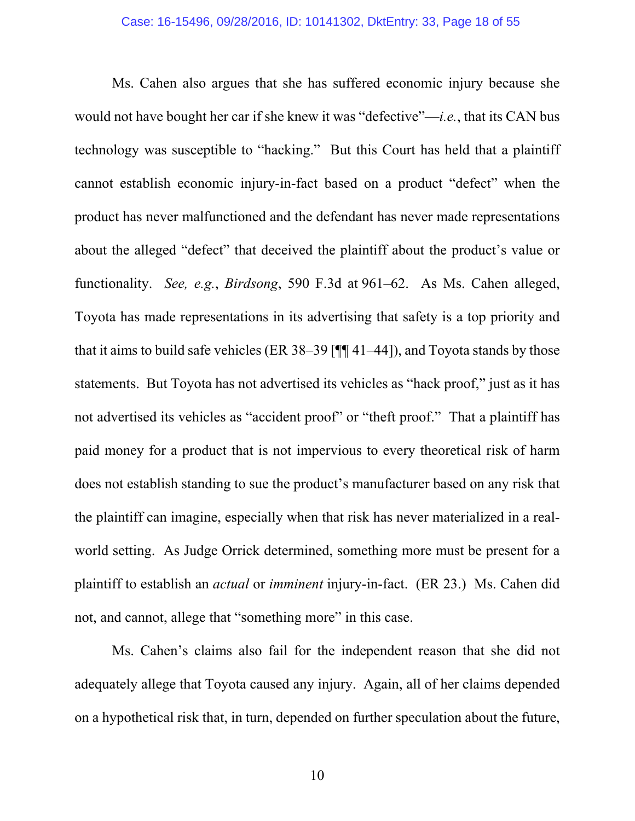Ms. Cahen also argues that she has suffered economic injury because she would not have bought her car if she knew it was "defective"—*i.e.*, that its CAN bus technology was susceptible to "hacking." But this Court has held that a plaintiff cannot establish economic injury-in-fact based on a product "defect" when the product has never malfunctioned and the defendant has never made representations about the alleged "defect" that deceived the plaintiff about the product's value or functionality. *See, e.g.*, *Birdsong*, 590 F.3d at 961–62. As Ms. Cahen alleged, Toyota has made representations in its advertising that safety is a top priority and that it aims to build safe vehicles (ER 38–39 [¶¶ 41–44]), and Toyota stands by those statements. But Toyota has not advertised its vehicles as "hack proof," just as it has not advertised its vehicles as "accident proof" or "theft proof." That a plaintiff has paid money for a product that is not impervious to every theoretical risk of harm does not establish standing to sue the product's manufacturer based on any risk that the plaintiff can imagine, especially when that risk has never materialized in a realworld setting. As Judge Orrick determined, something more must be present for a plaintiff to establish an *actual* or *imminent* injury-in-fact. (ER 23.) Ms. Cahen did not, and cannot, allege that "something more" in this case.

Ms. Cahen's claims also fail for the independent reason that she did not adequately allege that Toyota caused any injury. Again, all of her claims depended on a hypothetical risk that, in turn, depended on further speculation about the future,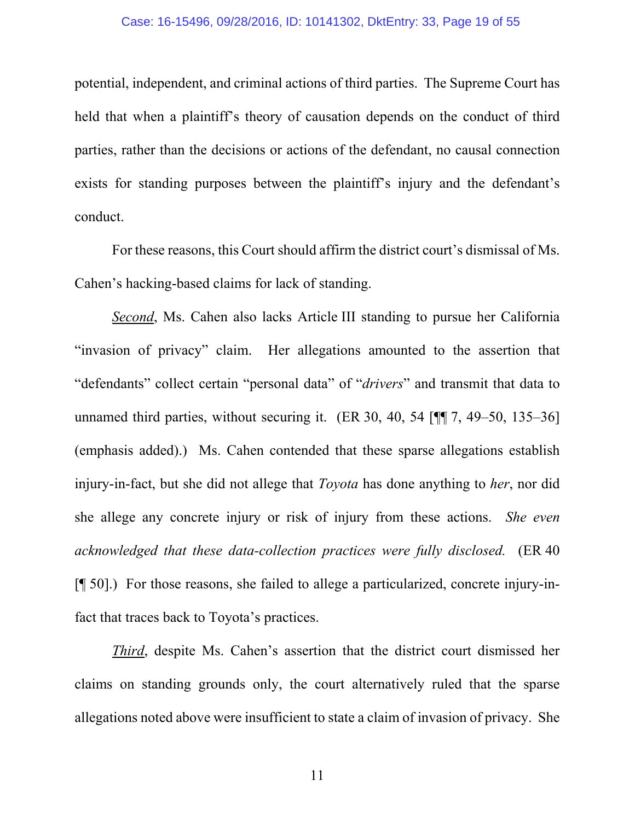#### Case: 16-15496, 09/28/2016, ID: 10141302, DktEntry: 33, Page 19 of 55

potential, independent, and criminal actions of third parties. The Supreme Court has held that when a plaintiff's theory of causation depends on the conduct of third parties, rather than the decisions or actions of the defendant, no causal connection exists for standing purposes between the plaintiff's injury and the defendant's conduct.

For these reasons, this Court should affirm the district court's dismissal of Ms. Cahen's hacking-based claims for lack of standing.

*Second*, Ms. Cahen also lacks Article III standing to pursue her California "invasion of privacy" claim. Her allegations amounted to the assertion that "defendants" collect certain "personal data" of "*drivers*" and transmit that data to unnamed third parties, without securing it.  $(ER\ 30, 40, 54 \ 1 \ 1)$  7, 49–50, 135–36] (emphasis added).) Ms. Cahen contended that these sparse allegations establish injury-in-fact, but she did not allege that *Toyota* has done anything to *her*, nor did she allege any concrete injury or risk of injury from these actions. *She even acknowledged that these data-collection practices were fully disclosed.* (ER 40 [¶ 50].) For those reasons, she failed to allege a particularized, concrete injury-infact that traces back to Toyota's practices.

*Third*, despite Ms. Cahen's assertion that the district court dismissed her claims on standing grounds only, the court alternatively ruled that the sparse allegations noted above were insufficient to state a claim of invasion of privacy. She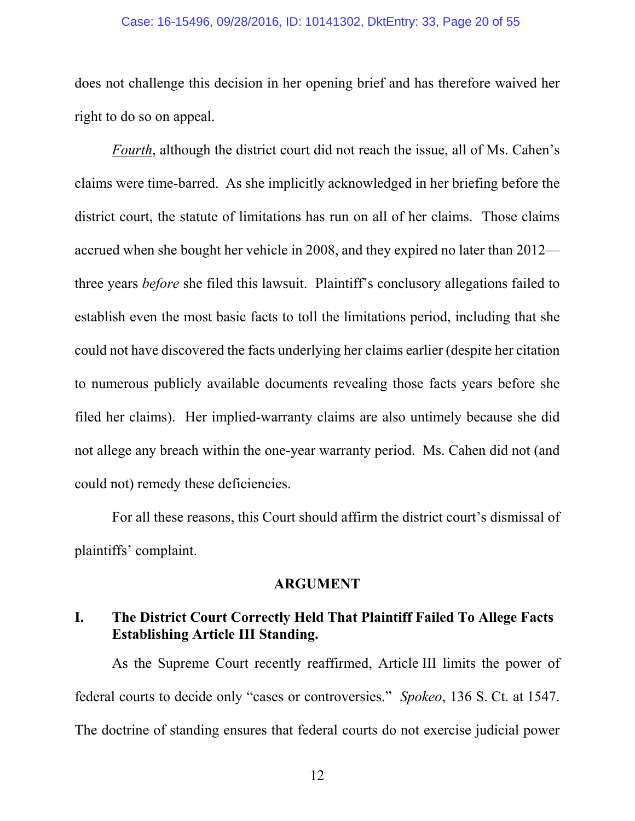#### Case: 16-15496, 09/28/2016, ID: 10141302, DktEntry: 33, Page 20 of 55

does not challenge this decision in her opening brief and has therefore waived her right to do so on appeal.

*Fourth*, although the district court did not reach the issue, all of Ms. Cahen's claims were time-barred. As she implicitly acknowledged in her briefing before the district court, the statute of limitations has run on all of her claims. Those claims accrued when she bought her vehicle in 2008, and they expired no later than 2012 three years *before* she filed this lawsuit. Plaintiff's conclusory allegations failed to establish even the most basic facts to toll the limitations period, including that she could not have discovered the facts underlying her claims earlier (despite her citation to numerous publicly available documents revealing those facts years before she filed her claims). Her implied-warranty claims are also untimely because she did not allege any breach within the one-year warranty period. Ms. Cahen did not (and could not) remedy these deficiencies.

For all these reasons, this Court should affirm the district court's dismissal of plaintiffs' complaint.

### **ARGUMENT**

## **I. The District Court Correctly Held That Plaintiff Failed To Allege Facts Establishing Article III Standing.**

As the Supreme Court recently reaffirmed, Article III limits the power of federal courts to decide only "cases or controversies." *Spokeo*, 136 S. Ct. at 1547. The doctrine of standing ensures that federal courts do not exercise judicial power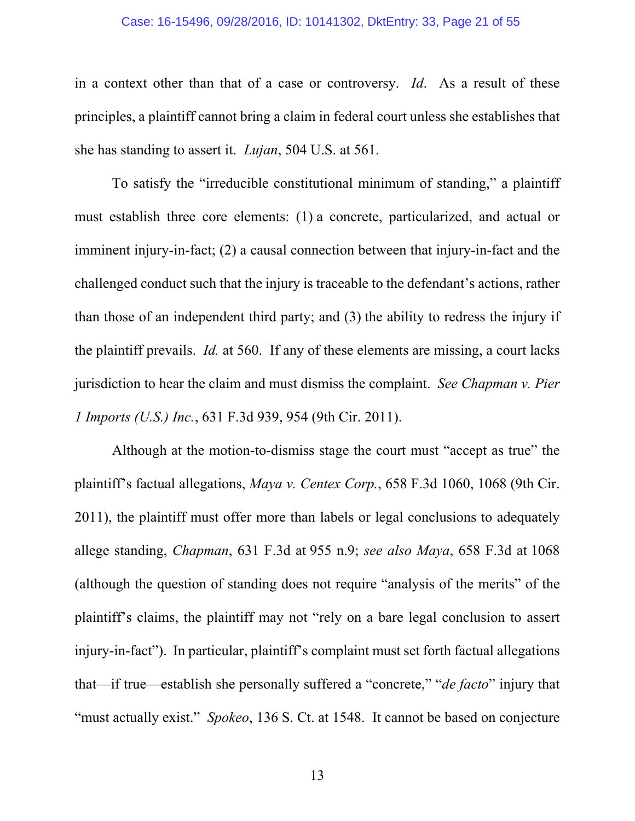#### Case: 16-15496, 09/28/2016, ID: 10141302, DktEntry: 33, Page 21 of 55

in a context other than that of a case or controversy. *Id*. As a result of these principles, a plaintiff cannot bring a claim in federal court unless she establishes that she has standing to assert it. *Lujan*, 504 U.S. at 561.

To satisfy the "irreducible constitutional minimum of standing," a plaintiff must establish three core elements: (1) a concrete, particularized, and actual or imminent injury-in-fact; (2) a causal connection between that injury-in-fact and the challenged conduct such that the injury is traceable to the defendant's actions, rather than those of an independent third party; and (3) the ability to redress the injury if the plaintiff prevails. *Id.* at 560. If any of these elements are missing, a court lacks jurisdiction to hear the claim and must dismiss the complaint. *See Chapman v. Pier 1 Imports (U.S.) Inc.*, 631 F.3d 939, 954 (9th Cir. 2011).

Although at the motion-to-dismiss stage the court must "accept as true" the plaintiff's factual allegations, *Maya v. Centex Corp.*, 658 F.3d 1060, 1068 (9th Cir. 2011), the plaintiff must offer more than labels or legal conclusions to adequately allege standing, *Chapman*, 631 F.3d at 955 n.9; *see also Maya*, 658 F.3d at 1068 (although the question of standing does not require "analysis of the merits" of the plaintiff's claims, the plaintiff may not "rely on a bare legal conclusion to assert injury-in-fact"). In particular, plaintiff's complaint must set forth factual allegations that—if true—establish she personally suffered a "concrete," "*de facto*" injury that "must actually exist." *Spokeo*, 136 S. Ct. at 1548. It cannot be based on conjecture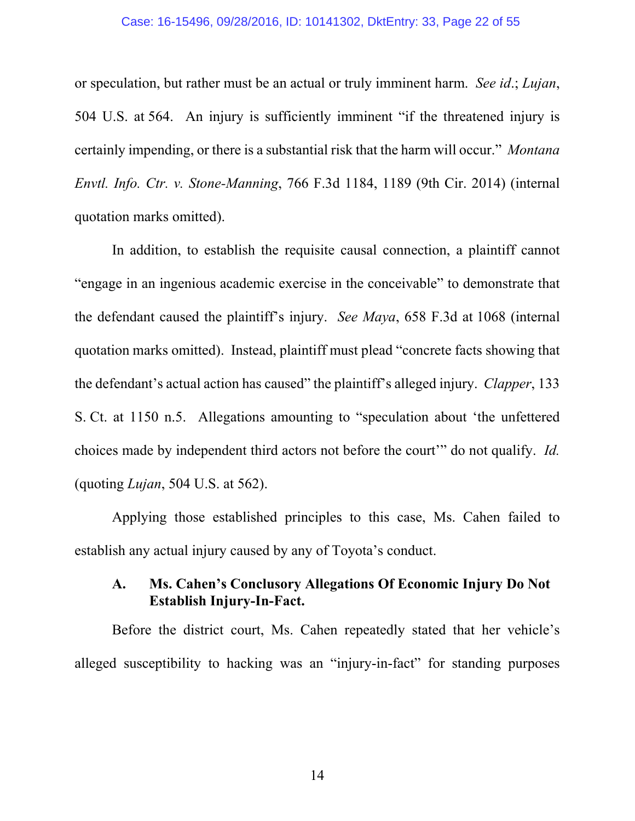#### Case: 16-15496, 09/28/2016, ID: 10141302, DktEntry: 33, Page 22 of 55

or speculation, but rather must be an actual or truly imminent harm. *See id*.; *Lujan*, 504 U.S. at 564. An injury is sufficiently imminent "if the threatened injury is certainly impending, or there is a substantial risk that the harm will occur." *Montana Envtl. Info. Ctr. v. Stone-Manning*, 766 F.3d 1184, 1189 (9th Cir. 2014) (internal quotation marks omitted).

In addition, to establish the requisite causal connection, a plaintiff cannot "engage in an ingenious academic exercise in the conceivable" to demonstrate that the defendant caused the plaintiff's injury. *See Maya*, 658 F.3d at 1068 (internal quotation marks omitted). Instead, plaintiff must plead "concrete facts showing that the defendant's actual action has caused" the plaintiff's alleged injury. *Clapper*, 133 S. Ct. at 1150 n.5. Allegations amounting to "speculation about 'the unfettered choices made by independent third actors not before the court'" do not qualify. *Id.* (quoting *Lujan*, 504 U.S. at 562).

Applying those established principles to this case, Ms. Cahen failed to establish any actual injury caused by any of Toyota's conduct.

## **A. Ms. Cahen's Conclusory Allegations Of Economic Injury Do Not Establish Injury-In-Fact.**

Before the district court, Ms. Cahen repeatedly stated that her vehicle's alleged susceptibility to hacking was an "injury-in-fact" for standing purposes

14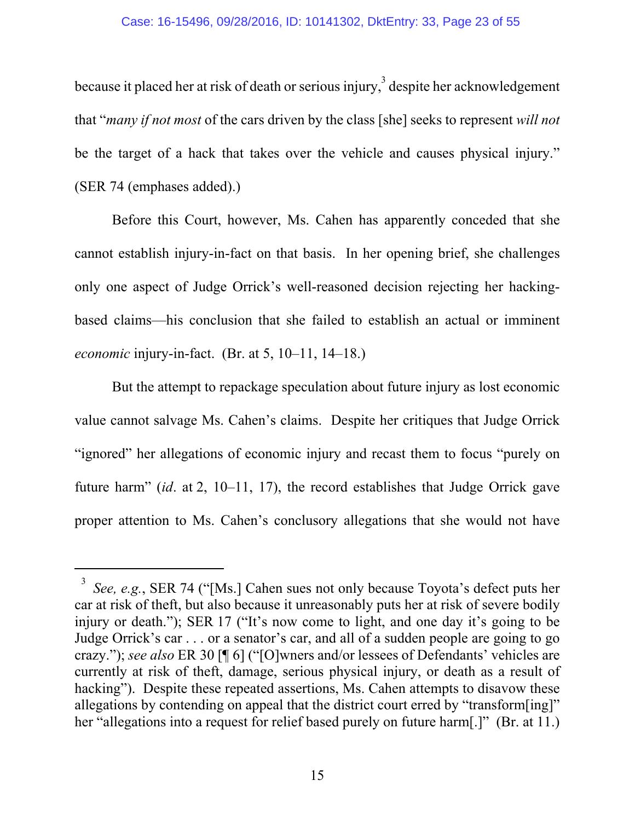because it placed her at risk of death or serious injury,<sup>3</sup> despite her acknowledgement that "*many if not most* of the cars driven by the class [she] seeks to represent *will not* be the target of a hack that takes over the vehicle and causes physical injury." (SER 74 (emphases added).)

Before this Court, however, Ms. Cahen has apparently conceded that she cannot establish injury-in-fact on that basis. In her opening brief, she challenges only one aspect of Judge Orrick's well-reasoned decision rejecting her hackingbased claims—his conclusion that she failed to establish an actual or imminent *economic* injury-in-fact. (Br. at 5, 10–11, 14–18.)

But the attempt to repackage speculation about future injury as lost economic value cannot salvage Ms. Cahen's claims. Despite her critiques that Judge Orrick "ignored" her allegations of economic injury and recast them to focus "purely on future harm" (*id*. at 2, 10–11, 17), the record establishes that Judge Orrick gave proper attention to Ms. Cahen's conclusory allegations that she would not have

-

<sup>3</sup> *See, e.g.*, SER 74 ("[Ms.] Cahen sues not only because Toyota's defect puts her car at risk of theft, but also because it unreasonably puts her at risk of severe bodily injury or death."); SER 17 ("It's now come to light, and one day it's going to be Judge Orrick's car . . . or a senator's car, and all of a sudden people are going to go crazy."); *see also* ER 30 [¶ 6] ("[O]wners and/or lessees of Defendants' vehicles are currently at risk of theft, damage, serious physical injury, or death as a result of hacking"). Despite these repeated assertions, Ms. Cahen attempts to disavow these allegations by contending on appeal that the district court erred by "transform[ing]" her "allegations into a request for relief based purely on future harm[.]" (Br. at 11.)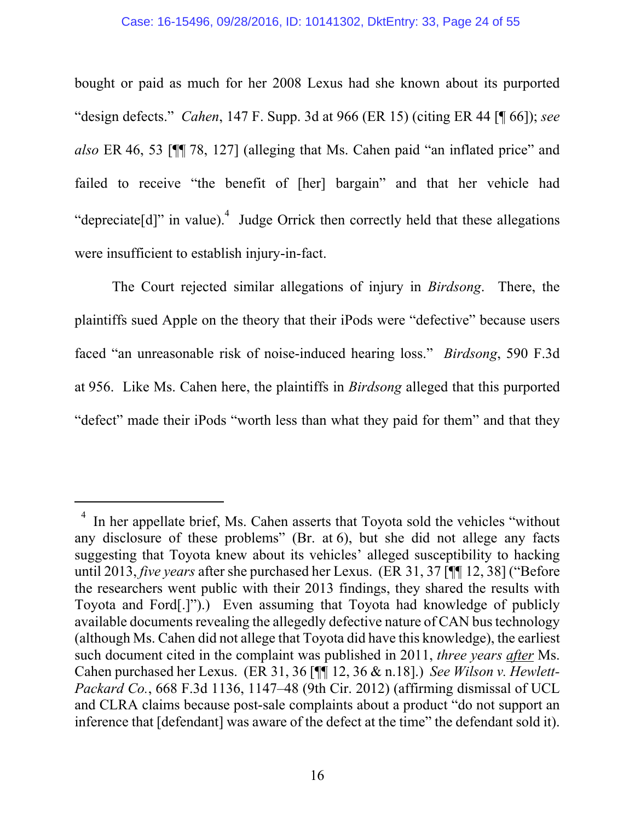bought or paid as much for her 2008 Lexus had she known about its purported "design defects." *Cahen*, 147 F. Supp. 3d at 966 (ER 15) (citing ER 44 [¶ 66]); *see also* ER 46, 53 [¶¶ 78, 127] (alleging that Ms. Cahen paid "an inflated price" and failed to receive "the benefit of [her] bargain" and that her vehicle had "depreciate[d]" in value).<sup>4</sup> Judge Orrick then correctly held that these allegations were insufficient to establish injury-in-fact.

The Court rejected similar allegations of injury in *Birdsong*. There, the plaintiffs sued Apple on the theory that their iPods were "defective" because users faced "an unreasonable risk of noise-induced hearing loss." *Birdsong*, 590 F.3d at 956. Like Ms. Cahen here, the plaintiffs in *Birdsong* alleged that this purported "defect" made their iPods "worth less than what they paid for them" and that they

l

<sup>4</sup> In her appellate brief, Ms. Cahen asserts that Toyota sold the vehicles "without any disclosure of these problems" (Br. at 6), but she did not allege any facts suggesting that Toyota knew about its vehicles' alleged susceptibility to hacking until 2013, *five years* after she purchased her Lexus. (ER 31, 37 [¶¶ 12, 38] ("Before the researchers went public with their 2013 findings, they shared the results with Toyota and Ford[.]").) Even assuming that Toyota had knowledge of publicly available documents revealing the allegedly defective nature of CAN bus technology (although Ms. Cahen did not allege that Toyota did have this knowledge), the earliest such document cited in the complaint was published in 2011, *three years after* Ms. Cahen purchased her Lexus. (ER 31, 36 [¶¶ 12, 36 & n.18].) *See Wilson v. Hewlett-Packard Co.*, 668 F.3d 1136, 1147–48 (9th Cir. 2012) (affirming dismissal of UCL and CLRA claims because post-sale complaints about a product "do not support an inference that [defendant] was aware of the defect at the time" the defendant sold it).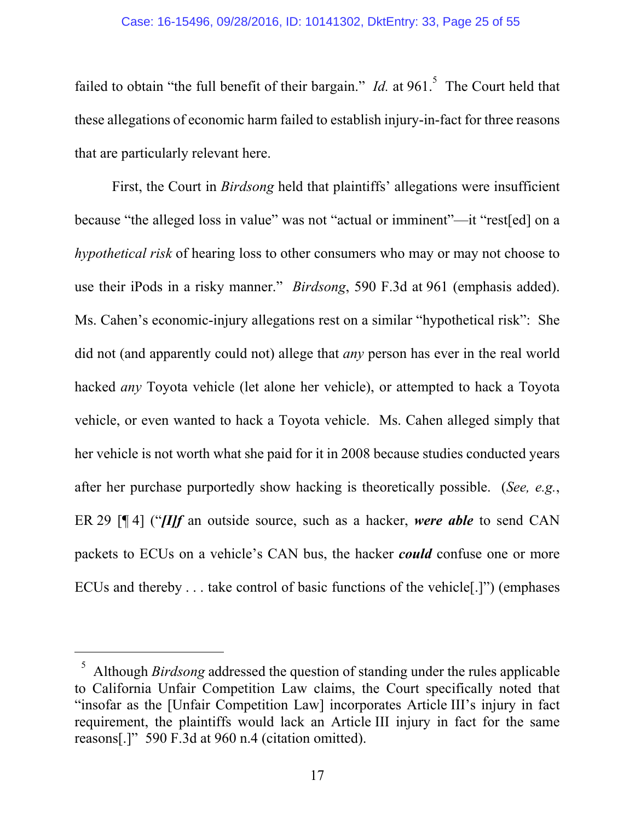failed to obtain "the full benefit of their bargain." *Id.* at 961.<sup>5</sup> The Court held that these allegations of economic harm failed to establish injury-in-fact for three reasons that are particularly relevant here.

First, the Court in *Birdsong* held that plaintiffs' allegations were insufficient because "the alleged loss in value" was not "actual or imminent"—it "rest[ed] on a *hypothetical risk* of hearing loss to other consumers who may or may not choose to use their iPods in a risky manner." *Birdsong*, 590 F.3d at 961 (emphasis added). Ms. Cahen's economic-injury allegations rest on a similar "hypothetical risk": She did not (and apparently could not) allege that *any* person has ever in the real world hacked *any* Toyota vehicle (let alone her vehicle), or attempted to hack a Toyota vehicle, or even wanted to hack a Toyota vehicle. Ms. Cahen alleged simply that her vehicle is not worth what she paid for it in 2008 because studies conducted years after her purchase purportedly show hacking is theoretically possible. (*See, e.g.*, ER 29 [¶ 4] ("*[I]f* an outside source, such as a hacker, *were able* to send CAN packets to ECUs on a vehicle's CAN bus, the hacker *could* confuse one or more ECUs and thereby . . . take control of basic functions of the vehicle[.]") (emphases

-

<sup>5</sup> Although *Birdsong* addressed the question of standing under the rules applicable to California Unfair Competition Law claims, the Court specifically noted that "insofar as the [Unfair Competition Law] incorporates Article III's injury in fact requirement, the plaintiffs would lack an Article III injury in fact for the same reasons[.]" 590 F.3d at 960 n.4 (citation omitted).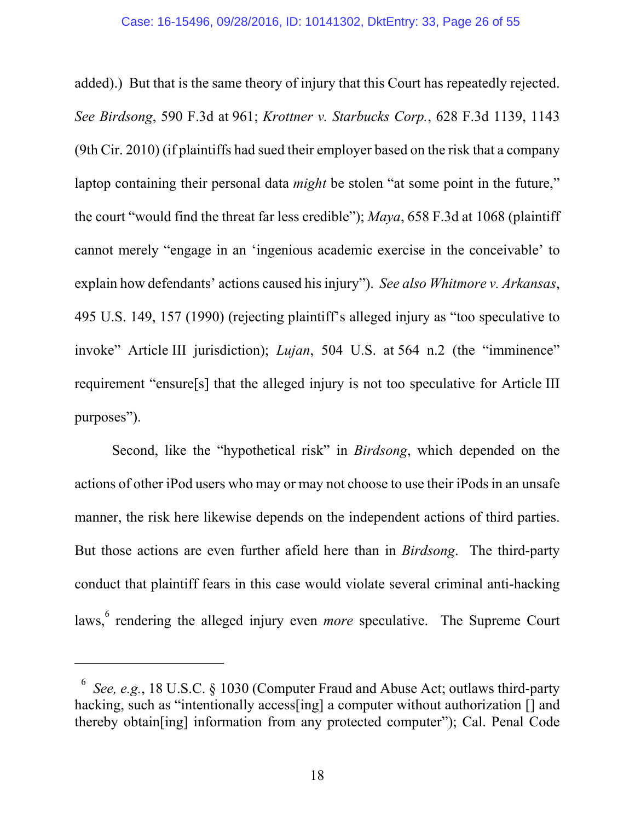added).) But that is the same theory of injury that this Court has repeatedly rejected. *See Birdsong*, 590 F.3d at 961; *Krottner v. Starbucks Corp.*, 628 F.3d 1139, 1143 (9th Cir. 2010) (if plaintiffs had sued their employer based on the risk that a company laptop containing their personal data *might* be stolen "at some point in the future," the court "would find the threat far less credible"); *Maya*, 658 F.3d at 1068 (plaintiff cannot merely "engage in an 'ingenious academic exercise in the conceivable' to explain how defendants' actions caused his injury"). *See also Whitmore v. Arkansas*, 495 U.S. 149, 157 (1990) (rejecting plaintiff's alleged injury as "too speculative to invoke" Article III jurisdiction); *Lujan*, 504 U.S. at 564 n.2 (the "imminence" requirement "ensure[s] that the alleged injury is not too speculative for Article III purposes").

Second, like the "hypothetical risk" in *Birdsong*, which depended on the actions of other iPod users who may or may not choose to use their iPods in an unsafe manner, the risk here likewise depends on the independent actions of third parties. But those actions are even further afield here than in *Birdsong*. The third-party conduct that plaintiff fears in this case would violate several criminal anti-hacking laws, <sup>6</sup> rendering the alleged injury even *more* speculative. The Supreme Court

 $\overline{a}$ 

<sup>6</sup> *See, e.g.*, 18 U.S.C. § 1030 (Computer Fraud and Abuse Act; outlaws third-party hacking, such as "intentionally access [ing] a computer without authorization [] and thereby obtain[ing] information from any protected computer"); Cal. Penal Code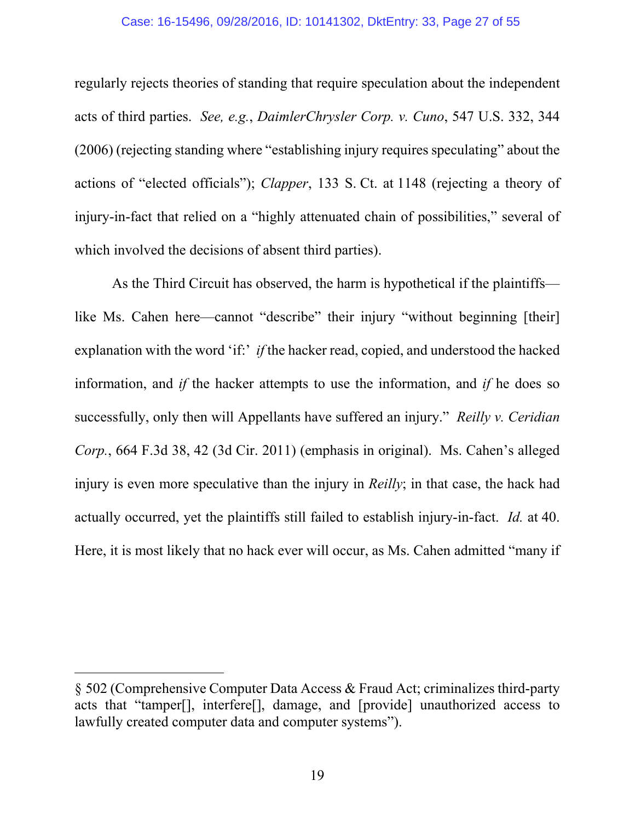#### Case: 16-15496, 09/28/2016, ID: 10141302, DktEntry: 33, Page 27 of 55

regularly rejects theories of standing that require speculation about the independent acts of third parties. *See, e.g.*, *DaimlerChrysler Corp. v. Cuno*, 547 U.S. 332, 344 (2006) (rejecting standing where "establishing injury requires speculating" about the actions of "elected officials"); *Clapper*, 133 S. Ct. at 1148 (rejecting a theory of injury-in-fact that relied on a "highly attenuated chain of possibilities," several of which involved the decisions of absent third parties).

As the Third Circuit has observed, the harm is hypothetical if the plaintiffs like Ms. Cahen here—cannot "describe" their injury "without beginning [their] explanation with the word 'if:' *if* the hacker read, copied, and understood the hacked information, and *if* the hacker attempts to use the information, and *if* he does so successfully, only then will Appellants have suffered an injury." *Reilly v. Ceridian Corp.*, 664 F.3d 38, 42 (3d Cir. 2011) (emphasis in original). Ms. Cahen's alleged injury is even more speculative than the injury in *Reilly*; in that case, the hack had actually occurred, yet the plaintiffs still failed to establish injury-in-fact. *Id.* at 40. Here, it is most likely that no hack ever will occur, as Ms. Cahen admitted "many if

 $\overline{a}$ 

<sup>§ 502 (</sup>Comprehensive Computer Data Access & Fraud Act; criminalizes third-party acts that "tamper[], interfere[], damage, and [provide] unauthorized access to lawfully created computer data and computer systems").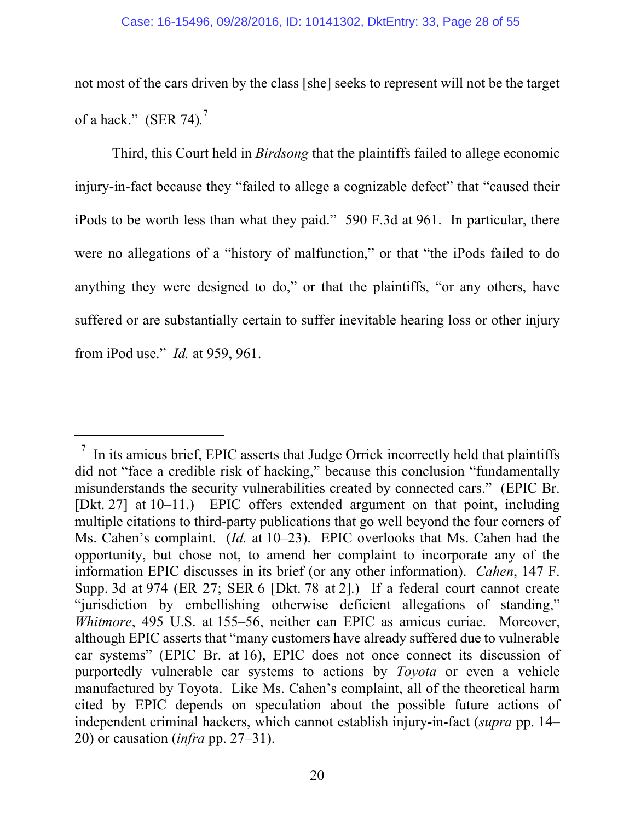not most of the cars driven by the class [she] seeks to represent will not be the target of a hack." (SER 74)*.* 7

Third, this Court held in *Birdsong* that the plaintiffs failed to allege economic injury-in-fact because they "failed to allege a cognizable defect" that "caused their iPods to be worth less than what they paid." 590 F.3d at 961. In particular, there were no allegations of a "history of malfunction," or that "the iPods failed to do anything they were designed to do," or that the plaintiffs, "or any others, have suffered or are substantially certain to suffer inevitable hearing loss or other injury from iPod use." *Id.* at 959, 961.

l

<sup>7</sup> In its amicus brief, EPIC asserts that Judge Orrick incorrectly held that plaintiffs did not "face a credible risk of hacking," because this conclusion "fundamentally misunderstands the security vulnerabilities created by connected cars." (EPIC Br. [Dkt. 27] at 10–11.) EPIC offers extended argument on that point, including multiple citations to third-party publications that go well beyond the four corners of Ms. Cahen's complaint. (*Id.* at 10–23). EPIC overlooks that Ms. Cahen had the opportunity, but chose not, to amend her complaint to incorporate any of the information EPIC discusses in its brief (or any other information). *Cahen*, 147 F. Supp. 3d at 974 (ER 27; SER 6 [Dkt. 78 at 2].) If a federal court cannot create "jurisdiction by embellishing otherwise deficient allegations of standing," *Whitmore*, 495 U.S. at 155–56, neither can EPIC as amicus curiae. Moreover, although EPIC asserts that "many customers have already suffered due to vulnerable car systems" (EPIC Br. at 16), EPIC does not once connect its discussion of purportedly vulnerable car systems to actions by *Toyota* or even a vehicle manufactured by Toyota. Like Ms. Cahen's complaint, all of the theoretical harm cited by EPIC depends on speculation about the possible future actions of independent criminal hackers, which cannot establish injury-in-fact (*supra* pp. 14– 20) or causation (*infra* pp. 27–31).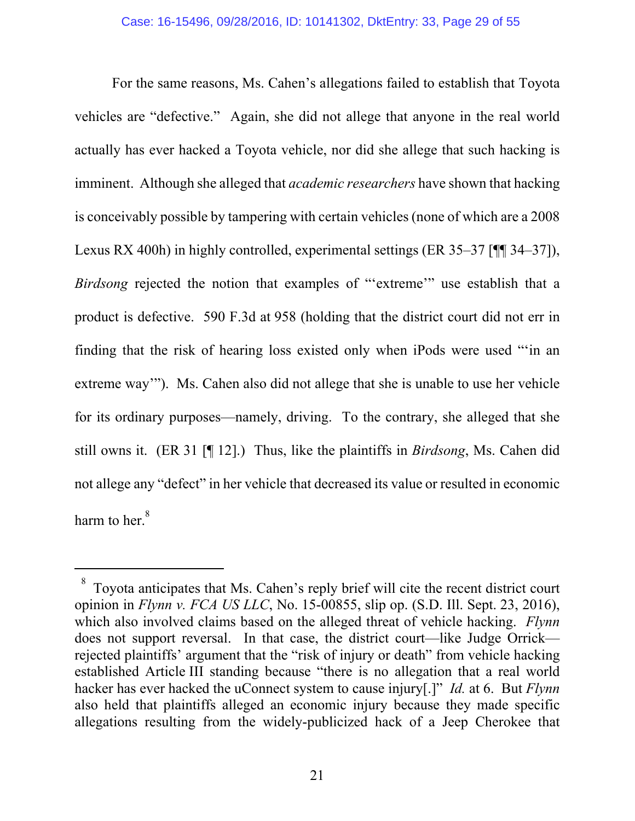For the same reasons, Ms. Cahen's allegations failed to establish that Toyota vehicles are "defective." Again, she did not allege that anyone in the real world actually has ever hacked a Toyota vehicle, nor did she allege that such hacking is imminent. Although she alleged that *academic researchers* have shown that hacking is conceivably possible by tampering with certain vehicles (none of which are a 2008 Lexus RX 400h) in highly controlled, experimental settings (ER 35–37 [¶¶ 34–37]), *Birdsong* rejected the notion that examples of "'extreme'" use establish that a product is defective. 590 F.3d at 958 (holding that the district court did not err in finding that the risk of hearing loss existed only when iPods were used "'in an extreme way'"). Ms. Cahen also did not allege that she is unable to use her vehicle for its ordinary purposes—namely, driving. To the contrary, she alleged that she still owns it. (ER 31 [¶ 12].) Thus, like the plaintiffs in *Birdsong*, Ms. Cahen did not allege any "defect" in her vehicle that decreased its value or resulted in economic harm to her. $^8$ 

 $\overline{a}$ 

 $8\degree$  Toyota anticipates that Ms. Cahen's reply brief will cite the recent district court opinion in *Flynn v. FCA US LLC*, No. 15-00855, slip op. (S.D. Ill. Sept. 23, 2016), which also involved claims based on the alleged threat of vehicle hacking. *Flynn*  does not support reversal. In that case, the district court—like Judge Orrick rejected plaintiffs' argument that the "risk of injury or death" from vehicle hacking established Article III standing because "there is no allegation that a real world hacker has ever hacked the uConnect system to cause injury[.]" *Id.* at 6. But *Flynn*  also held that plaintiffs alleged an economic injury because they made specific allegations resulting from the widely-publicized hack of a Jeep Cherokee that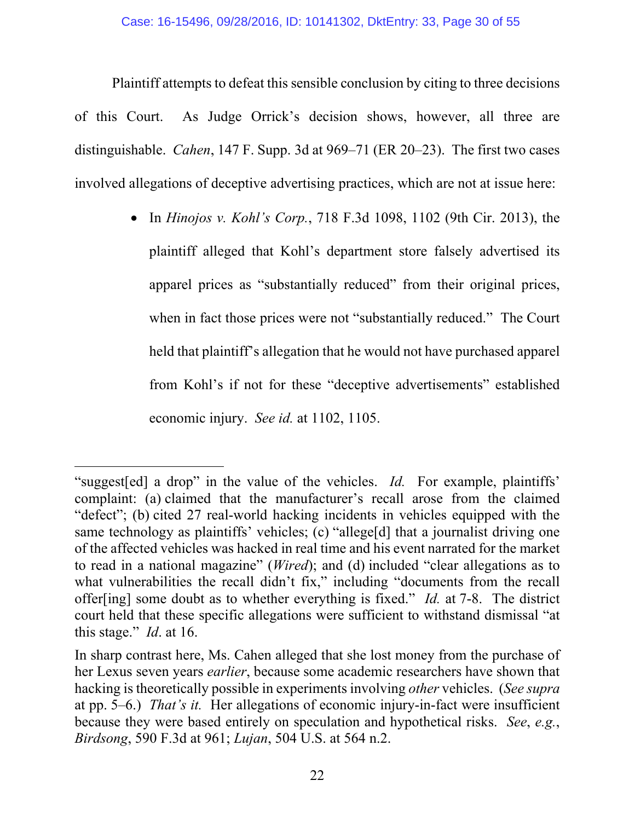Plaintiff attempts to defeat this sensible conclusion by citing to three decisions of this Court. As Judge Orrick's decision shows, however, all three are distinguishable. *Cahen*, 147 F. Supp. 3d at 969–71 (ER 20–23). The first two cases involved allegations of deceptive advertising practices, which are not at issue here:

> In *Hinojos v. Kohl's Corp.*, 718 F.3d 1098, 1102 (9th Cir. 2013), the plaintiff alleged that Kohl's department store falsely advertised its apparel prices as "substantially reduced" from their original prices, when in fact those prices were not "substantially reduced." The Court held that plaintiff's allegation that he would not have purchased apparel from Kohl's if not for these "deceptive advertisements" established economic injury. *See id.* at 1102, 1105.

 $\overline{a}$ "suggest[ed] a drop" in the value of the vehicles. *Id.* For example, plaintiffs' complaint: (a) claimed that the manufacturer's recall arose from the claimed "defect"; (b) cited 27 real-world hacking incidents in vehicles equipped with the same technology as plaintiffs' vehicles; (c) "allege[d] that a journalist driving one of the affected vehicles was hacked in real time and his event narrated for the market to read in a national magazine" (*Wired*); and (d) included "clear allegations as to what vulnerabilities the recall didn't fix," including "documents from the recall offer[ing] some doubt as to whether everything is fixed." *Id.* at 7-8. The district court held that these specific allegations were sufficient to withstand dismissal "at this stage." *Id*. at 16.

In sharp contrast here, Ms. Cahen alleged that she lost money from the purchase of her Lexus seven years *earlier*, because some academic researchers have shown that hacking is theoretically possible in experiments involving *other* vehicles. (*See supra* at pp. 5–6.) *That's it.* Her allegations of economic injury-in-fact were insufficient because they were based entirely on speculation and hypothetical risks. *See*, *e.g.*, *Birdsong*, 590 F.3d at 961; *Lujan*, 504 U.S. at 564 n.2.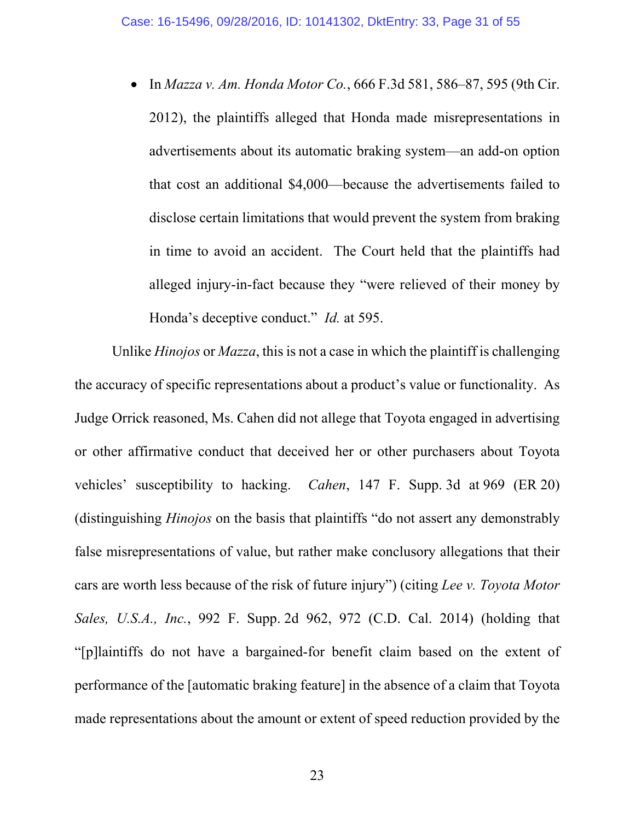In *Mazza v. Am. Honda Motor Co.*, 666 F.3d 581, 586–87, 595 (9th Cir. 2012), the plaintiffs alleged that Honda made misrepresentations in advertisements about its automatic braking system—an add-on option that cost an additional \$4,000—because the advertisements failed to disclose certain limitations that would prevent the system from braking in time to avoid an accident. The Court held that the plaintiffs had alleged injury-in-fact because they "were relieved of their money by Honda's deceptive conduct." *Id.* at 595.

Unlike *Hinojos* or *Mazza*, this is not a case in which the plaintiff is challenging the accuracy of specific representations about a product's value or functionality. As Judge Orrick reasoned, Ms. Cahen did not allege that Toyota engaged in advertising or other affirmative conduct that deceived her or other purchasers about Toyota vehicles' susceptibility to hacking. *Cahen*, 147 F. Supp. 3d at 969 (ER 20) (distinguishing *Hinojos* on the basis that plaintiffs "do not assert any demonstrably false misrepresentations of value, but rather make conclusory allegations that their cars are worth less because of the risk of future injury") (citing *Lee v. Toyota Motor Sales, U.S.A., Inc.*, 992 F. Supp. 2d 962, 972 (C.D. Cal. 2014) (holding that "[p]laintiffs do not have a bargained-for benefit claim based on the extent of performance of the [automatic braking feature] in the absence of a claim that Toyota made representations about the amount or extent of speed reduction provided by the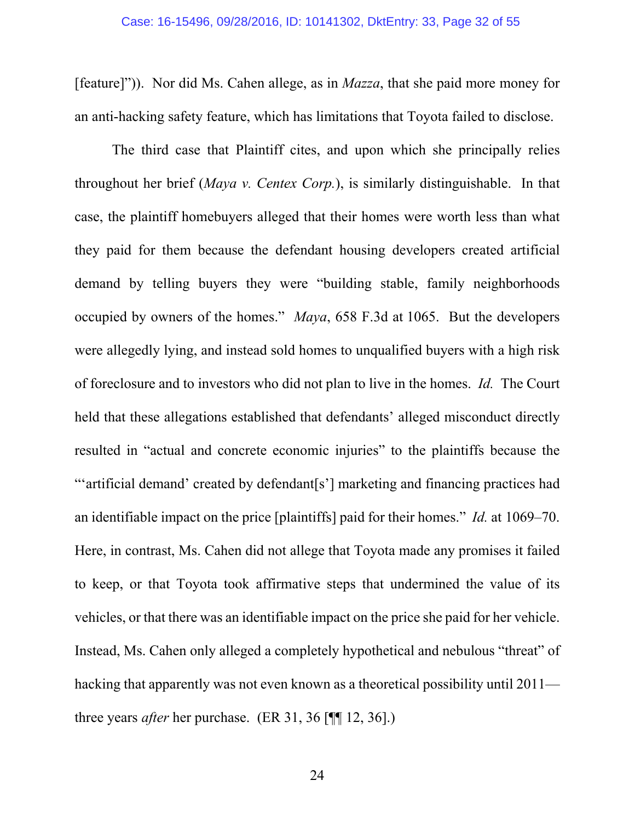[feature]")). Nor did Ms. Cahen allege, as in *Mazza*, that she paid more money for an anti-hacking safety feature, which has limitations that Toyota failed to disclose.

The third case that Plaintiff cites, and upon which she principally relies throughout her brief (*Maya v. Centex Corp.*), is similarly distinguishable. In that case, the plaintiff homebuyers alleged that their homes were worth less than what they paid for them because the defendant housing developers created artificial demand by telling buyers they were "building stable, family neighborhoods occupied by owners of the homes." *Maya*, 658 F.3d at 1065. But the developers were allegedly lying, and instead sold homes to unqualified buyers with a high risk of foreclosure and to investors who did not plan to live in the homes. *Id.* The Court held that these allegations established that defendants' alleged misconduct directly resulted in "actual and concrete economic injuries" to the plaintiffs because the "'artificial demand' created by defendant[s'] marketing and financing practices had an identifiable impact on the price [plaintiffs] paid for their homes." *Id.* at 1069–70. Here, in contrast, Ms. Cahen did not allege that Toyota made any promises it failed to keep, or that Toyota took affirmative steps that undermined the value of its vehicles, or that there was an identifiable impact on the price she paid for her vehicle. Instead, Ms. Cahen only alleged a completely hypothetical and nebulous "threat" of hacking that apparently was not even known as a theoretical possibility until 2011 three years *after* her purchase. (ER 31, 36 [¶¶ 12, 36].)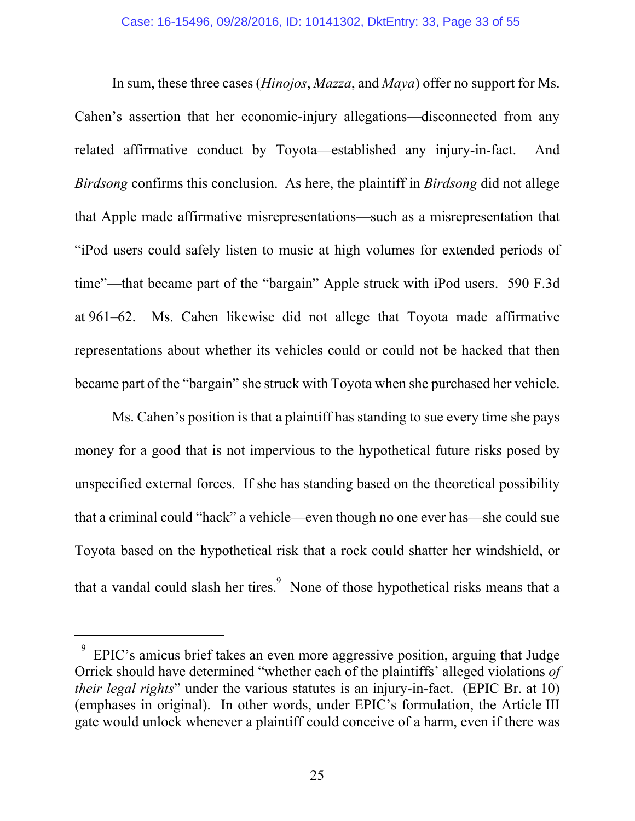In sum, these three cases (*Hinojos*, *Mazza*, and *Maya*) offer no support for Ms. Cahen's assertion that her economic-injury allegations—disconnected from any related affirmative conduct by Toyota—established any injury-in-fact. And *Birdsong* confirms this conclusion. As here, the plaintiff in *Birdsong* did not allege that Apple made affirmative misrepresentations—such as a misrepresentation that "iPod users could safely listen to music at high volumes for extended periods of time"—that became part of the "bargain" Apple struck with iPod users. 590 F.3d at 961–62. Ms. Cahen likewise did not allege that Toyota made affirmative representations about whether its vehicles could or could not be hacked that then became part of the "bargain" she struck with Toyota when she purchased her vehicle.

Ms. Cahen's position is that a plaintiff has standing to sue every time she pays money for a good that is not impervious to the hypothetical future risks posed by unspecified external forces. If she has standing based on the theoretical possibility that a criminal could "hack" a vehicle—even though no one ever has—she could sue Toyota based on the hypothetical risk that a rock could shatter her windshield, or that a vandal could slash her tires.  $\frac{9}{5}$  None of those hypothetical risks means that a

 $\overline{a}$ 

 $9$  EPIC's amicus brief takes an even more aggressive position, arguing that Judge Orrick should have determined "whether each of the plaintiffs' alleged violations *of their legal rights*" under the various statutes is an injury-in-fact. (EPIC Br. at 10) (emphases in original). In other words, under EPIC's formulation, the Article III gate would unlock whenever a plaintiff could conceive of a harm, even if there was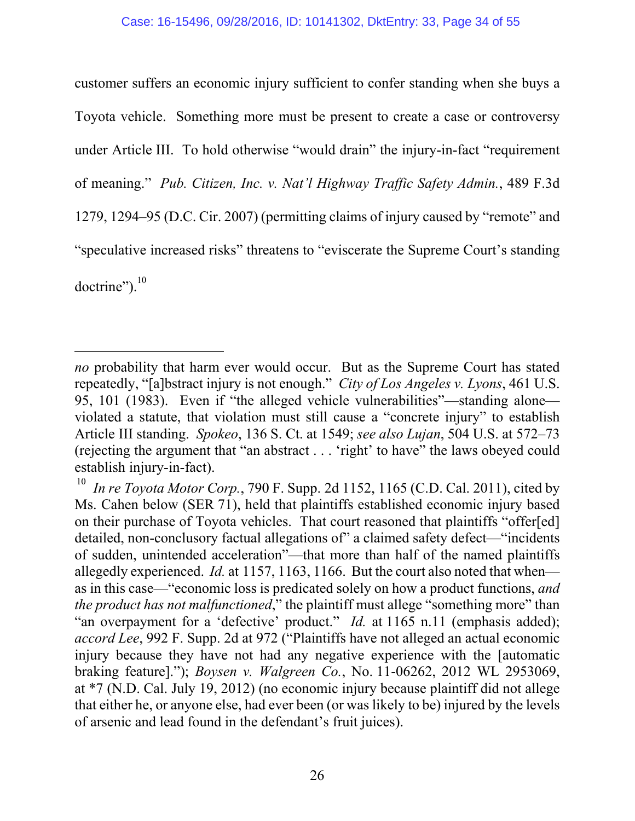customer suffers an economic injury sufficient to confer standing when she buys a Toyota vehicle. Something more must be present to create a case or controversy under Article III. To hold otherwise "would drain" the injury-in-fact "requirement of meaning." *Pub. Citizen, Inc. v. Nat'l Highway Traffic Safety Admin.*, 489 F.3d 1279, 1294–95 (D.C. Cir. 2007) (permitting claims of injury caused by "remote" and "speculative increased risks" threatens to "eviscerate the Supreme Court's standing doctrine").<sup>10</sup>

-

*no* probability that harm ever would occur. But as the Supreme Court has stated repeatedly, "[a]bstract injury is not enough." *City of Los Angeles v. Lyons*, 461 U.S. 95, 101 (1983). Even if "the alleged vehicle vulnerabilities"—standing alone violated a statute, that violation must still cause a "concrete injury" to establish Article III standing. *Spokeo*, 136 S. Ct. at 1549; *see also Lujan*, 504 U.S. at 572–73 (rejecting the argument that "an abstract . . . 'right' to have" the laws obeyed could establish injury-in-fact).

<sup>&</sup>lt;sup>10</sup> *In re Toyota Motor Corp.*, 790 F. Supp. 2d 1152, 1165 (C.D. Cal. 2011), cited by Ms. Cahen below (SER 71), held that plaintiffs established economic injury based on their purchase of Toyota vehicles. That court reasoned that plaintiffs "offer[ed] detailed, non-conclusory factual allegations of" a claimed safety defect—"incidents of sudden, unintended acceleration"—that more than half of the named plaintiffs allegedly experienced. *Id.* at 1157, 1163, 1166. But the court also noted that when as in this case—"economic loss is predicated solely on how a product functions, *and the product has not malfunctioned*," the plaintiff must allege "something more" than "an overpayment for a 'defective' product." *Id.* at 1165 n.11 (emphasis added); *accord Lee*, 992 F. Supp. 2d at 972 ("Plaintiffs have not alleged an actual economic injury because they have not had any negative experience with the [automatic braking feature]."); *Boysen v. Walgreen Co.*, No. 11-06262, 2012 WL 2953069, at \*7 (N.D. Cal. July 19, 2012) (no economic injury because plaintiff did not allege that either he, or anyone else, had ever been (or was likely to be) injured by the levels of arsenic and lead found in the defendant's fruit juices).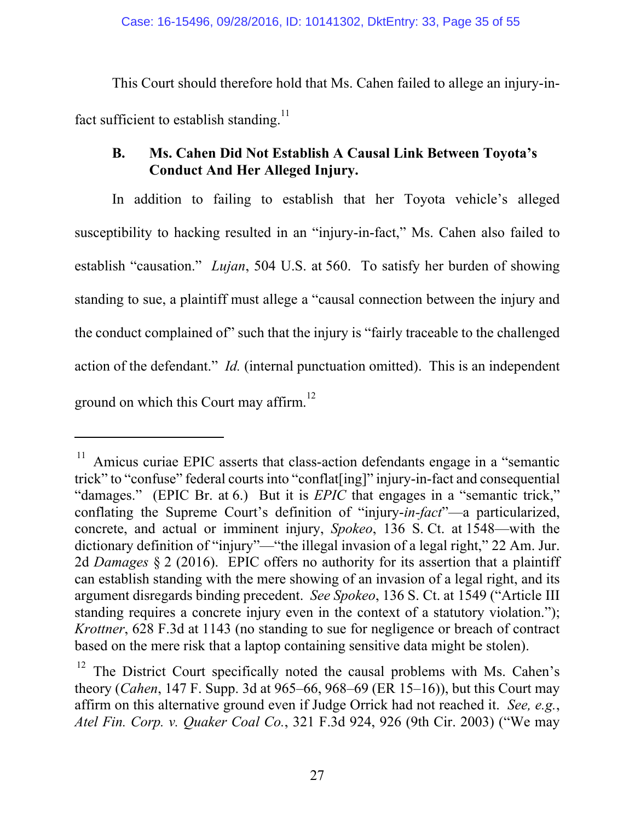This Court should therefore hold that Ms. Cahen failed to allege an injury-infact sufficient to establish standing.<sup>11</sup>

## **B. Ms. Cahen Did Not Establish A Causal Link Between Toyota's Conduct And Her Alleged Injury.**

In addition to failing to establish that her Toyota vehicle's alleged susceptibility to hacking resulted in an "injury-in-fact," Ms. Cahen also failed to establish "causation." *Lujan*, 504 U.S. at 560. To satisfy her burden of showing standing to sue, a plaintiff must allege a "causal connection between the injury and the conduct complained of" such that the injury is "fairly traceable to the challenged action of the defendant." *Id.* (internal punctuation omitted).This is an independent ground on which this Court may affirm.<sup>12</sup>

-

Amicus curiae EPIC asserts that class-action defendants engage in a "semantic trick" to "confuse" federal courts into "conflat[ing]" injury-in-fact and consequential "damages." (EPIC Br. at 6.) But it is *EPIC* that engages in a "semantic trick," conflating the Supreme Court's definition of "injury-*in-fact*"—a particularized, concrete, and actual or imminent injury, *Spokeo*, 136 S. Ct. at 1548—with the dictionary definition of "injury"—"the illegal invasion of a legal right," 22 Am. Jur. 2d *Damages* § 2 (2016). EPIC offers no authority for its assertion that a plaintiff can establish standing with the mere showing of an invasion of a legal right, and its argument disregards binding precedent. *See Spokeo*, 136 S. Ct. at 1549 ("Article III standing requires a concrete injury even in the context of a statutory violation."); *Krottner*, 628 F.3d at 1143 (no standing to sue for negligence or breach of contract based on the mere risk that a laptop containing sensitive data might be stolen).

 $12$  The District Court specifically noted the causal problems with Ms. Cahen's theory (*Cahen*, 147 F. Supp. 3d at 965–66, 968–69 (ER 15–16)), but this Court may affirm on this alternative ground even if Judge Orrick had not reached it. *See, e.g.*, *Atel Fin. Corp. v. Quaker Coal Co.*, 321 F.3d 924, 926 (9th Cir. 2003) ("We may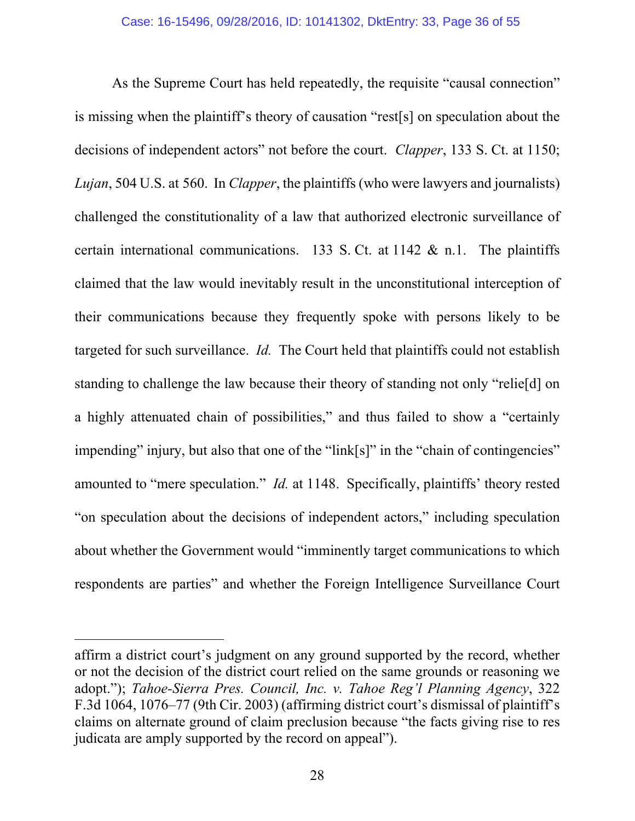As the Supreme Court has held repeatedly, the requisite "causal connection" is missing when the plaintiff's theory of causation "rest[s] on speculation about the decisions of independent actors" not before the court. *Clapper*, 133 S. Ct. at 1150; *Lujan*, 504 U.S. at 560. In *Clapper*, the plaintiffs (who were lawyers and journalists) challenged the constitutionality of a law that authorized electronic surveillance of certain international communications. 133 S. Ct. at 1142  $\&$  n.1. The plaintiffs claimed that the law would inevitably result in the unconstitutional interception of their communications because they frequently spoke with persons likely to be targeted for such surveillance. *Id.* The Court held that plaintiffs could not establish standing to challenge the law because their theory of standing not only "relie[d] on a highly attenuated chain of possibilities," and thus failed to show a "certainly impending" injury, but also that one of the "link[s]" in the "chain of contingencies" amounted to "mere speculation." *Id.* at 1148. Specifically, plaintiffs' theory rested "on speculation about the decisions of independent actors," including speculation about whether the Government would "imminently target communications to which respondents are parties" and whether the Foreign Intelligence Surveillance Court

l

affirm a district court's judgment on any ground supported by the record, whether or not the decision of the district court relied on the same grounds or reasoning we adopt."); *Tahoe-Sierra Pres. Council, Inc. v. Tahoe Reg'l Planning Agency*, 322 F.3d 1064, 1076–77 (9th Cir. 2003) (affirming district court's dismissal of plaintiff's claims on alternate ground of claim preclusion because "the facts giving rise to res judicata are amply supported by the record on appeal").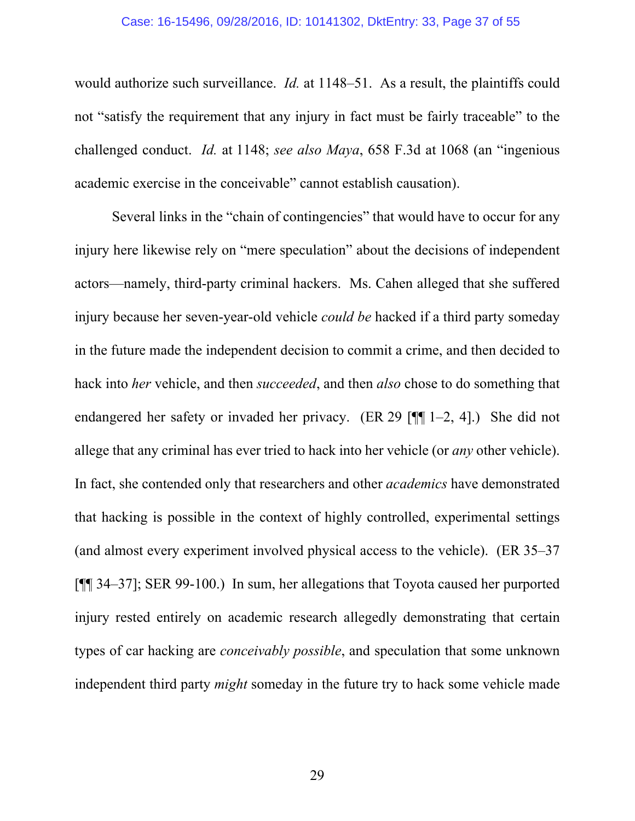#### Case: 16-15496, 09/28/2016, ID: 10141302, DktEntry: 33, Page 37 of 55

would authorize such surveillance. *Id.* at 1148–51. As a result, the plaintiffs could not "satisfy the requirement that any injury in fact must be fairly traceable" to the challenged conduct. *Id.* at 1148; *see also Maya*, 658 F.3d at 1068 (an "ingenious academic exercise in the conceivable" cannot establish causation).

Several links in the "chain of contingencies" that would have to occur for any injury here likewise rely on "mere speculation" about the decisions of independent actors—namely, third-party criminal hackers. Ms. Cahen alleged that she suffered injury because her seven-year-old vehicle *could be* hacked if a third party someday in the future made the independent decision to commit a crime, and then decided to hack into *her* vehicle, and then *succeeded*, and then *also* chose to do something that endangered her safety or invaded her privacy. (ER 29 [¶¶ 1–2, 4].) She did not allege that any criminal has ever tried to hack into her vehicle (or *any* other vehicle). In fact, she contended only that researchers and other *academics* have demonstrated that hacking is possible in the context of highly controlled, experimental settings (and almost every experiment involved physical access to the vehicle). (ER 35–37 [¶¶ 34–37]; SER 99-100.) In sum, her allegations that Toyota caused her purported injury rested entirely on academic research allegedly demonstrating that certain types of car hacking are *conceivably possible*, and speculation that some unknown independent third party *might* someday in the future try to hack some vehicle made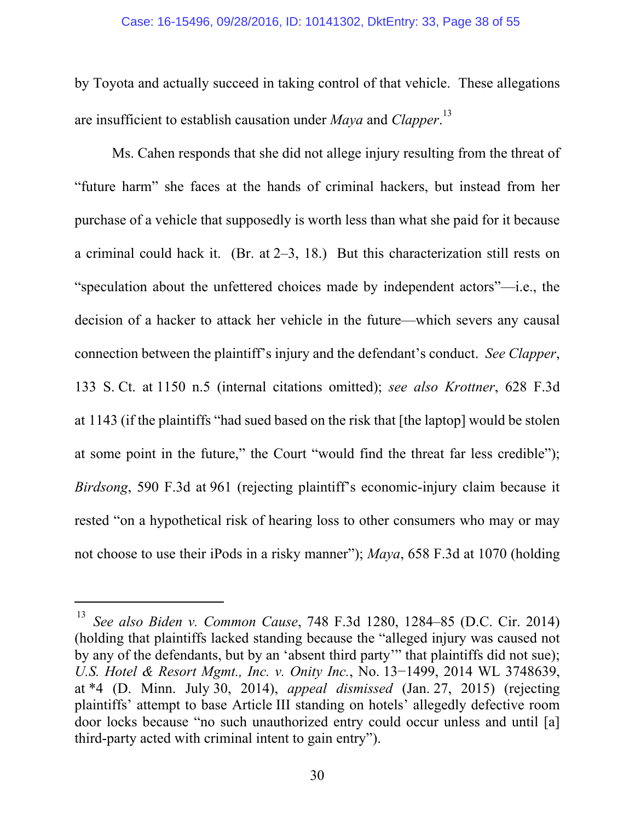by Toyota and actually succeed in taking control of that vehicle. These allegations are insufficient to establish causation under *Maya* and *Clapper*. 13

Ms. Cahen responds that she did not allege injury resulting from the threat of "future harm" she faces at the hands of criminal hackers, but instead from her purchase of a vehicle that supposedly is worth less than what she paid for it because a criminal could hack it. (Br. at 2–3, 18.) But this characterization still rests on "speculation about the unfettered choices made by independent actors"—i.e., the decision of a hacker to attack her vehicle in the future—which severs any causal connection between the plaintiff's injury and the defendant's conduct. *See Clapper*, 133 S. Ct. at 1150 n.5 (internal citations omitted); *see also Krottner*, 628 F.3d at 1143 (if the plaintiffs "had sued based on the risk that [the laptop] would be stolen at some point in the future," the Court "would find the threat far less credible"); *Birdsong*, 590 F.3d at 961 (rejecting plaintiff's economic-injury claim because it rested "on a hypothetical risk of hearing loss to other consumers who may or may not choose to use their iPods in a risky manner"); *Maya*, 658 F.3d at 1070 (holding

-

<sup>13</sup> *See also Biden v. Common Cause*, 748 F.3d 1280, 1284–85 (D.C. Cir. 2014) (holding that plaintiffs lacked standing because the "alleged injury was caused not by any of the defendants, but by an 'absent third party'" that plaintiffs did not sue); *U.S. Hotel & Resort Mgmt., Inc. v. Onity Inc.*, No. 13−1499, 2014 WL 3748639, at \*4 (D. Minn. July 30, 2014), *appeal dismissed* (Jan. 27, 2015) (rejecting plaintiffs' attempt to base Article III standing on hotels' allegedly defective room door locks because "no such unauthorized entry could occur unless and until [a] third-party acted with criminal intent to gain entry").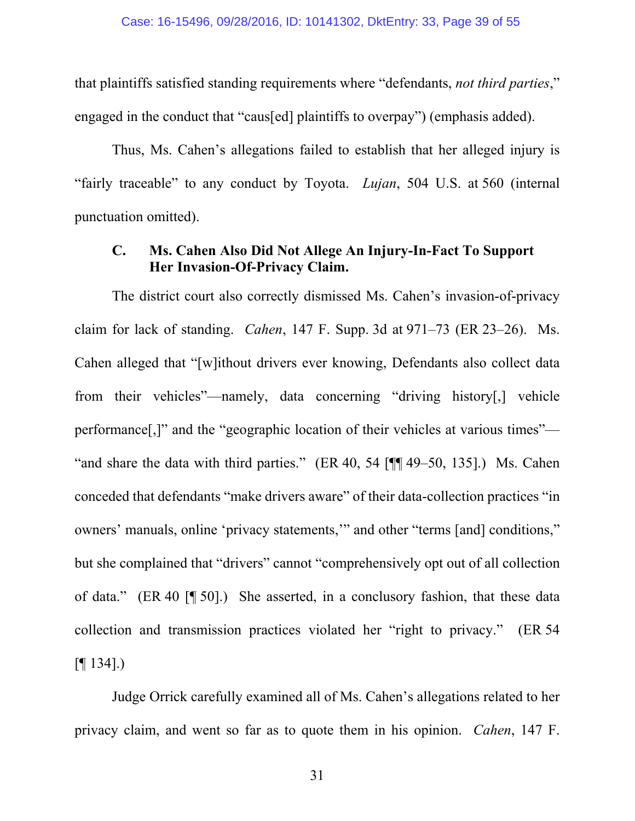that plaintiffs satisfied standing requirements where "defendants, *not third parties*," engaged in the conduct that "caus[ed] plaintiffs to overpay") (emphasis added).

Thus, Ms. Cahen's allegations failed to establish that her alleged injury is "fairly traceable" to any conduct by Toyota. *Lujan*, 504 U.S. at 560 (internal punctuation omitted).

## **C. Ms. Cahen Also Did Not Allege An Injury-In-Fact To Support Her Invasion-Of-Privacy Claim.**

The district court also correctly dismissed Ms. Cahen's invasion-of-privacy claim for lack of standing. *Cahen*, 147 F. Supp. 3d at 971–73 (ER 23–26). Ms. Cahen alleged that "[w]ithout drivers ever knowing, Defendants also collect data from their vehicles"—namely, data concerning "driving history[,] vehicle performance[,]" and the "geographic location of their vehicles at various times"— "and share the data with third parties." (ER 40, 54 [¶¶ 49–50, 135].) Ms. Cahen conceded that defendants "make drivers aware" of their data-collection practices "in owners' manuals, online 'privacy statements,'" and other "terms [and] conditions," but she complained that "drivers" cannot "comprehensively opt out of all collection of data." (ER 40 [¶ 50].)She asserted, in a conclusory fashion, that these data collection and transmission practices violated her "right to privacy." (ER 54  $[$ [[  $[$   $[$   $[$   $[$   $[$   $[$   $[$   $]$   $[$   $[$   $]$   $[$   $[$   $]$   $[$   $[$   $]$   $[$   $[$   $]$   $[$   $[$   $]$   $[$   $[$   $]$   $[$   $[$   $]$   $[$   $[$   $]$   $[$   $[$   $]$   $[$   $[$   $]$   $[$   $[$   $]$   $[$   $[$   $]$   $[$   $[$   $]$   $[$   $[$   $]$   $[$   $[$   $]$   $[$ 

Judge Orrick carefully examined all of Ms. Cahen's allegations related to her privacy claim, and went so far as to quote them in his opinion. *Cahen*, 147 F.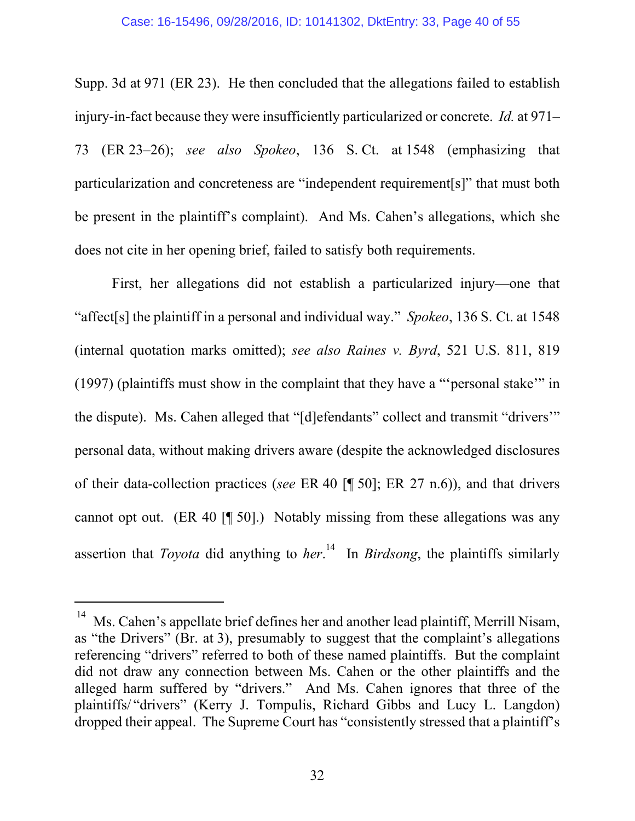Supp. 3d at 971 (ER 23). He then concluded that the allegations failed to establish injury-in-fact because they were insufficiently particularized or concrete. *Id.* at 971– 73 (ER 23–26); *see also Spokeo*, 136 S. Ct. at 1548 (emphasizing that particularization and concreteness are "independent requirement[s]" that must both be present in the plaintiff's complaint). And Ms. Cahen's allegations, which she does not cite in her opening brief, failed to satisfy both requirements.

First, her allegations did not establish a particularized injury—one that "affect[s] the plaintiff in a personal and individual way." *Spokeo*, 136 S. Ct. at 1548 (internal quotation marks omitted); *see also Raines v. Byrd*, 521 U.S. 811, 819 (1997) (plaintiffs must show in the complaint that they have a "'personal stake'" in the dispute). Ms. Cahen alleged that "[d]efendants" collect and transmit "drivers'" personal data, without making drivers aware (despite the acknowledged disclosures of their data-collection practices (*see* ER 40 [¶ 50]; ER 27 n.6)), and that drivers cannot opt out. (ER 40 [¶ 50].) Notably missing from these allegations was any assertion that *Toyota* did anything to *her*. 14 In *Birdsong*, the plaintiffs similarly

-

<sup>&</sup>lt;sup>14</sup> Ms. Cahen's appellate brief defines her and another lead plaintiff, Merrill Nisam, as "the Drivers" (Br. at 3), presumably to suggest that the complaint's allegations referencing "drivers" referred to both of these named plaintiffs. But the complaint did not draw any connection between Ms. Cahen or the other plaintiffs and the alleged harm suffered by "drivers." And Ms. Cahen ignores that three of the plaintiffs/ "drivers" (Kerry J. Tompulis, Richard Gibbs and Lucy L. Langdon) dropped their appeal. The Supreme Court has "consistently stressed that a plaintiff's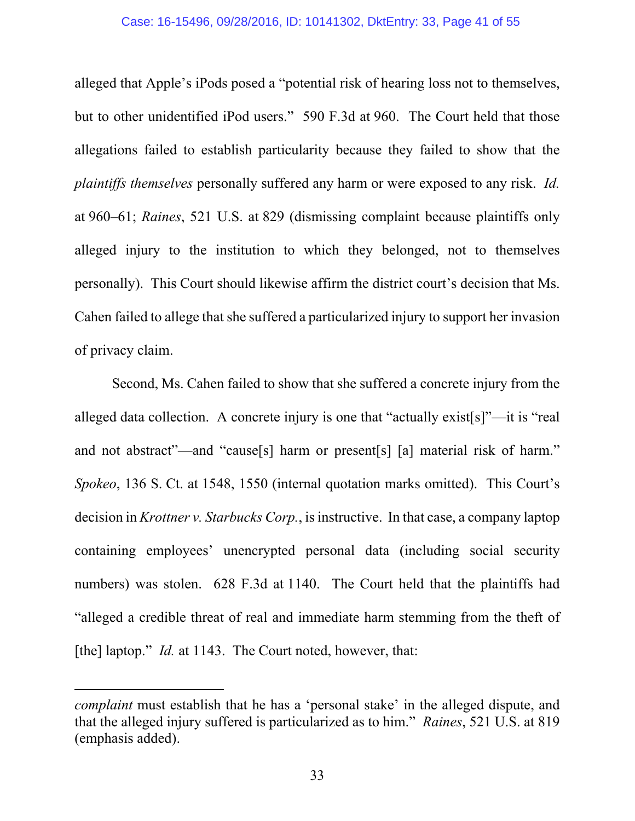#### Case: 16-15496, 09/28/2016, ID: 10141302, DktEntry: 33, Page 41 of 55

alleged that Apple's iPods posed a "potential risk of hearing loss not to themselves, but to other unidentified iPod users." 590 F.3d at 960. The Court held that those allegations failed to establish particularity because they failed to show that the *plaintiffs themselves* personally suffered any harm or were exposed to any risk. *Id.*  at 960–61; *Raines*, 521 U.S. at 829 (dismissing complaint because plaintiffs only alleged injury to the institution to which they belonged, not to themselves personally).This Court should likewise affirm the district court's decision that Ms. Cahen failed to allege that she suffered a particularized injury to support her invasion of privacy claim.

Second, Ms. Cahen failed to show that she suffered a concrete injury from the alleged data collection. A concrete injury is one that "actually exist[s]"—it is "real and not abstract"—and "cause[s] harm or present[s] [a] material risk of harm." *Spokeo*, 136 S. Ct. at 1548, 1550 (internal quotation marks omitted). This Court's decision in *Krottner v. Starbucks Corp.*, is instructive. In that case, a company laptop containing employees' unencrypted personal data (including social security numbers) was stolen. 628 F.3d at 1140. The Court held that the plaintiffs had "alleged a credible threat of real and immediate harm stemming from the theft of [the] laptop." *Id.* at 1143. The Court noted, however, that:

-

*complaint* must establish that he has a 'personal stake' in the alleged dispute, and that the alleged injury suffered is particularized as to him." *Raines*, 521 U.S. at 819 (emphasis added).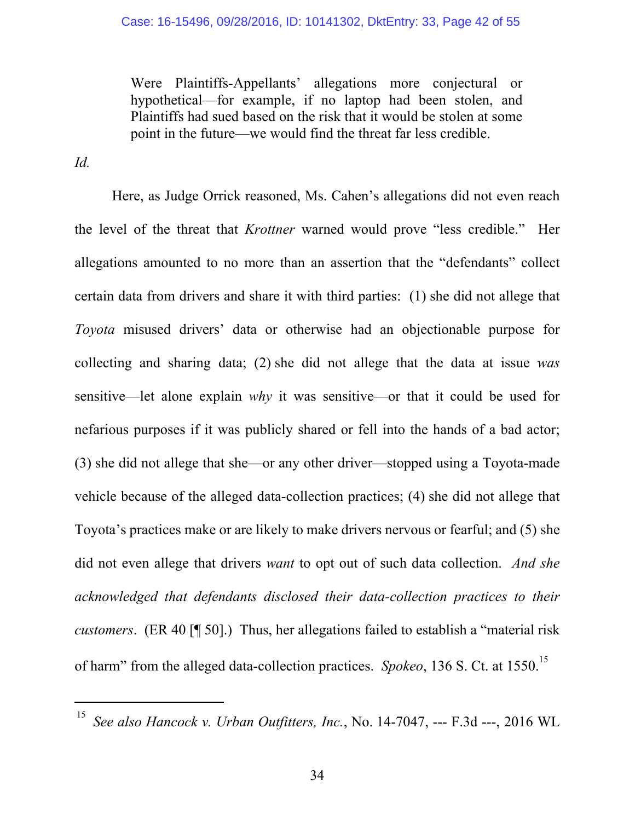Were Plaintiffs-Appellants' allegations more conjectural or hypothetical—for example, if no laptop had been stolen, and Plaintiffs had sued based on the risk that it would be stolen at some point in the future—we would find the threat far less credible.

*Id.* 

l

Here, as Judge Orrick reasoned, Ms. Cahen's allegations did not even reach the level of the threat that *Krottner* warned would prove "less credible." Her allegations amounted to no more than an assertion that the "defendants" collect certain data from drivers and share it with third parties: (1) she did not allege that *Toyota* misused drivers' data or otherwise had an objectionable purpose for collecting and sharing data; (2) she did not allege that the data at issue *was* sensitive—let alone explain *why* it was sensitive—or that it could be used for nefarious purposes if it was publicly shared or fell into the hands of a bad actor; (3) she did not allege that she—or any other driver—stopped using a Toyota-made vehicle because of the alleged data-collection practices; (4) she did not allege that Toyota's practices make or are likely to make drivers nervous or fearful; and (5) she did not even allege that drivers *want* to opt out of such data collection. *And she acknowledged that defendants disclosed their data-collection practices to their customers*. (ER 40 [¶ 50].) Thus, her allegations failed to establish a "material risk of harm" from the alleged data-collection practices. *Spokeo*, 136 S. Ct. at 1550.15

<sup>15</sup> *See also Hancock v. Urban Outfitters, Inc.*, No. 14-7047, --- F.3d ---, 2016 WL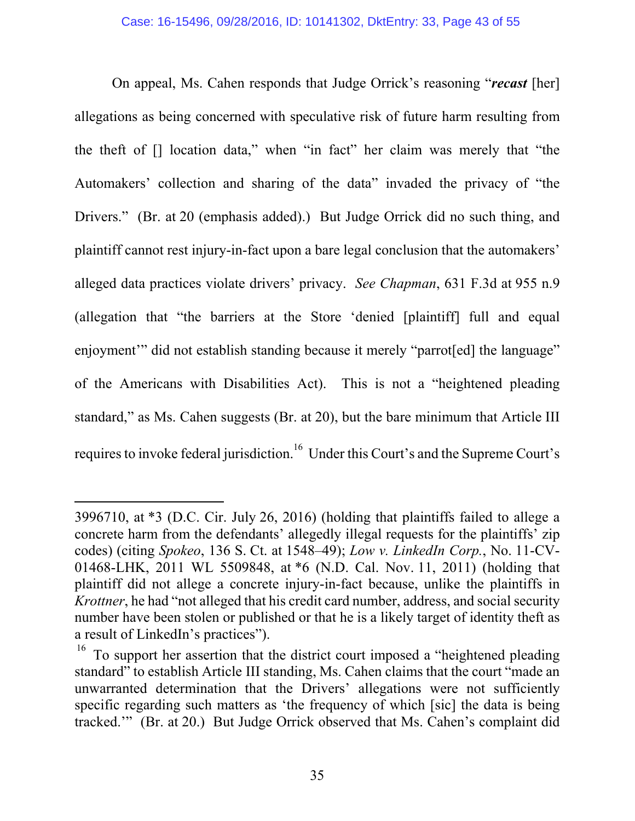On appeal, Ms. Cahen responds that Judge Orrick's reasoning "*recast* [her] allegations as being concerned with speculative risk of future harm resulting from the theft of [] location data," when "in fact" her claim was merely that "the Automakers' collection and sharing of the data" invaded the privacy of "the Drivers." (Br. at 20 (emphasis added).) But Judge Orrick did no such thing, and plaintiff cannot rest injury-in-fact upon a bare legal conclusion that the automakers' alleged data practices violate drivers' privacy. *See Chapman*, 631 F.3d at 955 n.9 (allegation that "the barriers at the Store 'denied [plaintiff] full and equal enjoyment" did not establish standing because it merely "parrot[ed] the language" of the Americans with Disabilities Act).This is not a "heightened pleading standard," as Ms. Cahen suggests (Br. at 20), but the bare minimum that Article III requires to invoke federal jurisdiction.<sup>16</sup> Under this Court's and the Supreme Court's

 $\overline{a}$ 

<sup>3996710,</sup> at \*3 (D.C. Cir. July 26, 2016) (holding that plaintiffs failed to allege a concrete harm from the defendants' allegedly illegal requests for the plaintiffs' zip codes) (citing *Spokeo*, 136 S. Ct. at 1548–49); *Low v. LinkedIn Corp.*, No. 11-CV-01468-LHK, 2011 WL 5509848, at \*6 (N.D. Cal. Nov. 11, 2011) (holding that plaintiff did not allege a concrete injury-in-fact because, unlike the plaintiffs in *Krottner*, he had "not alleged that his credit card number, address, and social security number have been stolen or published or that he is a likely target of identity theft as a result of LinkedIn's practices").

<sup>16</sup> To support her assertion that the district court imposed a "heightened pleading standard" to establish Article III standing, Ms. Cahen claims that the court "made an unwarranted determination that the Drivers' allegations were not sufficiently specific regarding such matters as 'the frequency of which [sic] the data is being tracked.'" (Br. at 20.) But Judge Orrick observed that Ms. Cahen's complaint did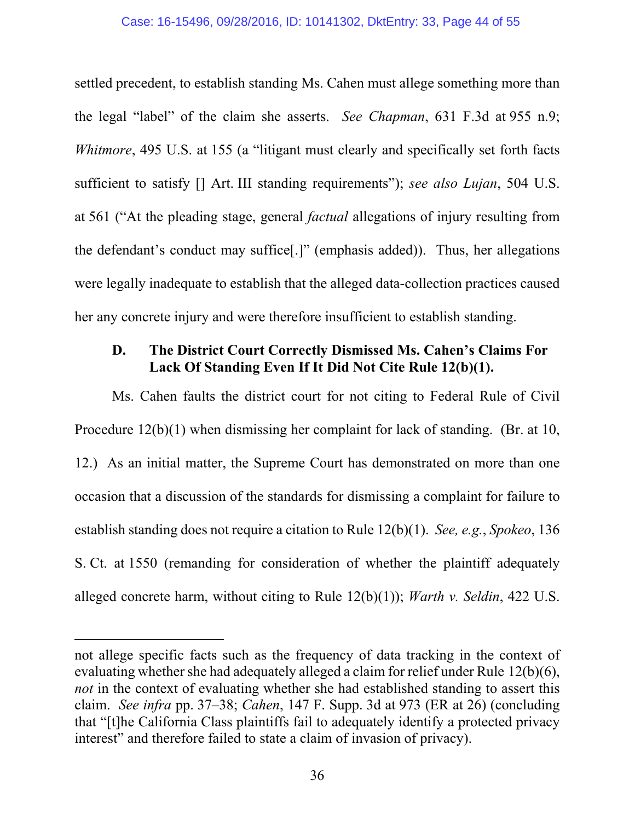settled precedent, to establish standing Ms. Cahen must allege something more than the legal "label" of the claim she asserts. *See Chapman*, 631 F.3d at 955 n.9; *Whitmore*, 495 U.S. at 155 (a "litigant must clearly and specifically set forth facts sufficient to satisfy [] Art. III standing requirements"); *see also Lujan*, 504 U.S. at 561 ("At the pleading stage, general *factual* allegations of injury resulting from the defendant's conduct may suffice[.]" (emphasis added)). Thus, her allegations were legally inadequate to establish that the alleged data-collection practices caused her any concrete injury and were therefore insufficient to establish standing.

## **D. The District Court Correctly Dismissed Ms. Cahen's Claims For Lack Of Standing Even If It Did Not Cite Rule 12(b)(1).**

Ms. Cahen faults the district court for not citing to Federal Rule of Civil Procedure 12(b)(1) when dismissing her complaint for lack of standing. (Br. at 10, 12.) As an initial matter, the Supreme Court has demonstrated on more than one occasion that a discussion of the standards for dismissing a complaint for failure to establish standing does not require a citation to Rule 12(b)(1). *See, e.g.*, *Spokeo*, 136 S. Ct. at 1550 (remanding for consideration of whether the plaintiff adequately alleged concrete harm, without citing to Rule 12(b)(1)); *Warth v. Seldin*, 422 U.S.

 $\overline{a}$ 

not allege specific facts such as the frequency of data tracking in the context of evaluating whether she had adequately alleged a claim for relief under Rule 12(b)(6), *not* in the context of evaluating whether she had established standing to assert this claim. *See infra* pp. 37–38; *Cahen*, 147 F. Supp. 3d at 973 (ER at 26) (concluding that "[t]he California Class plaintiffs fail to adequately identify a protected privacy interest" and therefore failed to state a claim of invasion of privacy).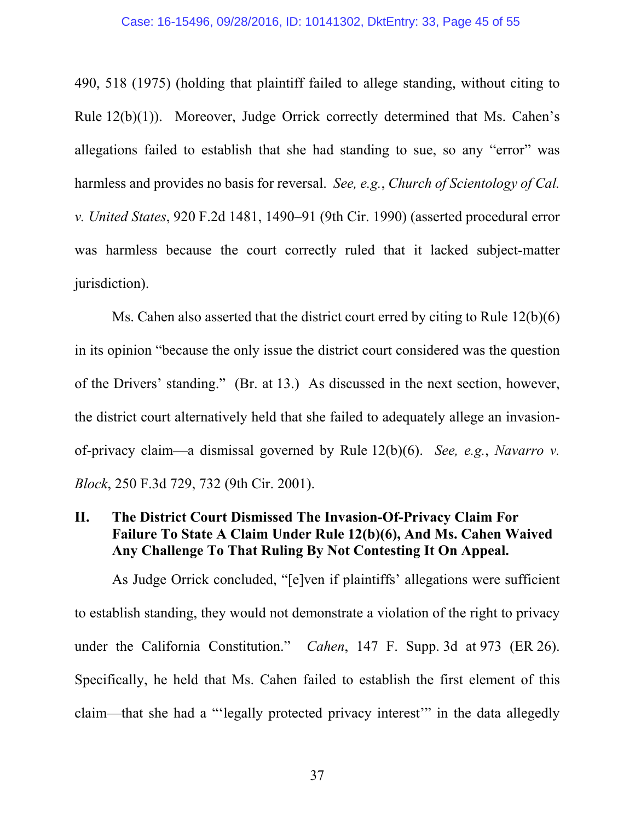490, 518 (1975) (holding that plaintiff failed to allege standing, without citing to Rule 12(b)(1)). Moreover, Judge Orrick correctly determined that Ms. Cahen's allegations failed to establish that she had standing to sue, so any "error" was harmless and provides no basis for reversal. *See, e.g.*, *Church of Scientology of Cal. v. United States*, 920 F.2d 1481, 1490–91 (9th Cir. 1990) (asserted procedural error was harmless because the court correctly ruled that it lacked subject-matter jurisdiction).

Ms. Cahen also asserted that the district court erred by citing to Rule 12(b)(6) in its opinion "because the only issue the district court considered was the question of the Drivers' standing." (Br. at 13.) As discussed in the next section, however, the district court alternatively held that she failed to adequately allege an invasionof-privacy claim—a dismissal governed by Rule 12(b)(6). *See, e.g.*, *Navarro v. Block*, 250 F.3d 729, 732 (9th Cir. 2001).

## **II. The District Court Dismissed The Invasion-Of-Privacy Claim For Failure To State A Claim Under Rule 12(b)(6), And Ms. Cahen Waived Any Challenge To That Ruling By Not Contesting It On Appeal.**

As Judge Orrick concluded, "[e]ven if plaintiffs' allegations were sufficient to establish standing, they would not demonstrate a violation of the right to privacy under the California Constitution." *Cahen*, 147 F. Supp. 3d at 973 (ER 26). Specifically, he held that Ms. Cahen failed to establish the first element of this claim—that she had a "'legally protected privacy interest'" in the data allegedly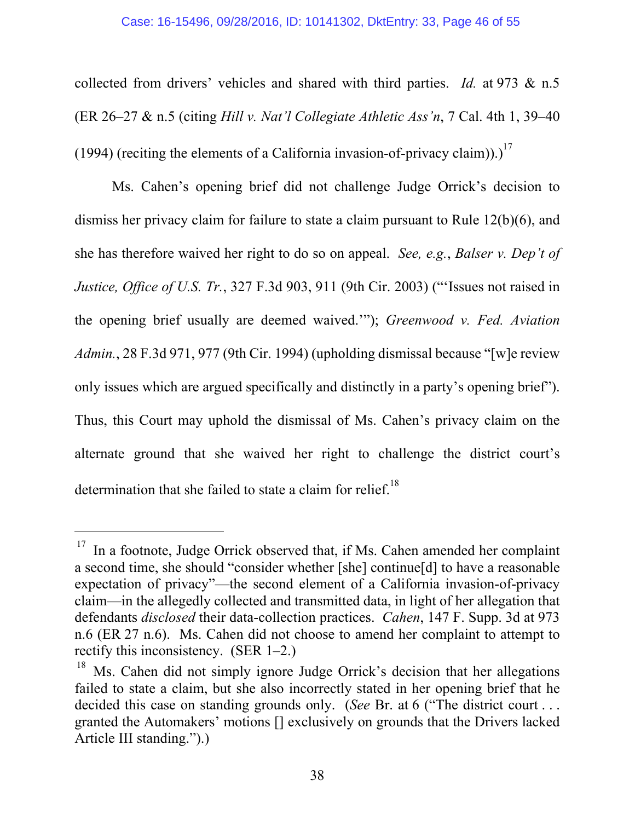#### Case: 16-15496, 09/28/2016, ID: 10141302, DktEntry: 33, Page 46 of 55

collected from drivers' vehicles and shared with third parties. *Id.* at 973 & n.5 (ER 26–27 & n.5 (citing *Hill v. Nat'l Collegiate Athletic Ass'n*, 7 Cal. 4th 1, 39–40 (1994) (reciting the elements of a California invasion-of-privacy claim)).)<sup>17</sup>

Ms. Cahen's opening brief did not challenge Judge Orrick's decision to dismiss her privacy claim for failure to state a claim pursuant to Rule 12(b)(6), and she has therefore waived her right to do so on appeal. *See, e.g.*, *Balser v. Dep't of Justice, Office of U.S. Tr.*, 327 F.3d 903, 911 (9th Cir. 2003) ("'Issues not raised in the opening brief usually are deemed waived.'"); *Greenwood v. Fed. Aviation Admin.*, 28 F.3d 971, 977 (9th Cir. 1994) (upholding dismissal because "[w]e review only issues which are argued specifically and distinctly in a party's opening brief"). Thus, this Court may uphold the dismissal of Ms. Cahen's privacy claim on the alternate ground that she waived her right to challenge the district court's determination that she failed to state a claim for relief.<sup>18</sup>

-

 $17$  In a footnote, Judge Orrick observed that, if Ms. Cahen amended her complaint a second time, she should "consider whether [she] continue[d] to have a reasonable expectation of privacy"—the second element of a California invasion-of-privacy claim—in the allegedly collected and transmitted data, in light of her allegation that defendants *disclosed* their data-collection practices. *Cahen*, 147 F. Supp. 3d at 973 n.6 (ER 27 n.6). Ms. Cahen did not choose to amend her complaint to attempt to rectify this inconsistency. (SER 1–2.)

Ms. Cahen did not simply ignore Judge Orrick's decision that her allegations failed to state a claim, but she also incorrectly stated in her opening brief that he decided this case on standing grounds only. (*See* Br. at 6 ("The district court . . . granted the Automakers' motions [] exclusively on grounds that the Drivers lacked Article III standing.").)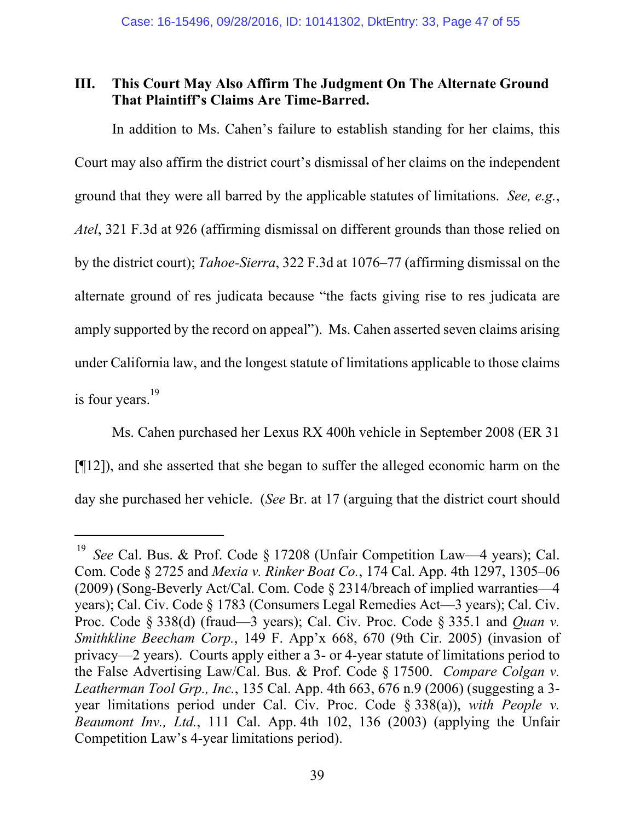## **III. This Court May Also Affirm The Judgment On The Alternate Ground That Plaintiff's Claims Are Time-Barred.**

In addition to Ms. Cahen's failure to establish standing for her claims, this Court may also affirm the district court's dismissal of her claims on the independent ground that they were all barred by the applicable statutes of limitations. *See, e.g.*, *Atel*, 321 F.3d at 926 (affirming dismissal on different grounds than those relied on by the district court); *Tahoe-Sierra*, 322 F.3d at 1076–77 (affirming dismissal on the alternate ground of res judicata because "the facts giving rise to res judicata are amply supported by the record on appeal"). Ms. Cahen asserted seven claims arising under California law, and the longest statute of limitations applicable to those claims is four years.<sup>19</sup>

Ms. Cahen purchased her Lexus RX 400h vehicle in September 2008 (ER 31 [¶12]), and she asserted that she began to suffer the alleged economic harm on the day she purchased her vehicle. (*See* Br. at 17 (arguing that the district court should

 $\overline{a}$ 

<sup>&</sup>lt;sup>19</sup> *See* Cal. Bus. & Prof. Code § 17208 (Unfair Competition Law—4 years); Cal. Com. Code § 2725 and *Mexia v. Rinker Boat Co.*, 174 Cal. App. 4th 1297, 1305–06 (2009) (Song-Beverly Act/Cal. Com. Code § 2314/breach of implied warranties—4 years); Cal. Civ. Code § 1783 (Consumers Legal Remedies Act—3 years); Cal. Civ. Proc. Code § 338(d) (fraud—3 years); Cal. Civ. Proc. Code § 335.1 and *Quan v. Smithkline Beecham Corp.*, 149 F. App'x 668, 670 (9th Cir. 2005) (invasion of privacy—2 years). Courts apply either a 3- or 4-year statute of limitations period to the False Advertising Law/Cal. Bus. & Prof. Code § 17500. *Compare Colgan v. Leatherman Tool Grp., Inc.*, 135 Cal. App. 4th 663, 676 n.9 (2006) (suggesting a 3 year limitations period under Cal. Civ. Proc. Code § 338(a)), *with People v. Beaumont Inv., Ltd.*, 111 Cal. App. 4th 102, 136 (2003) (applying the Unfair Competition Law's 4-year limitations period).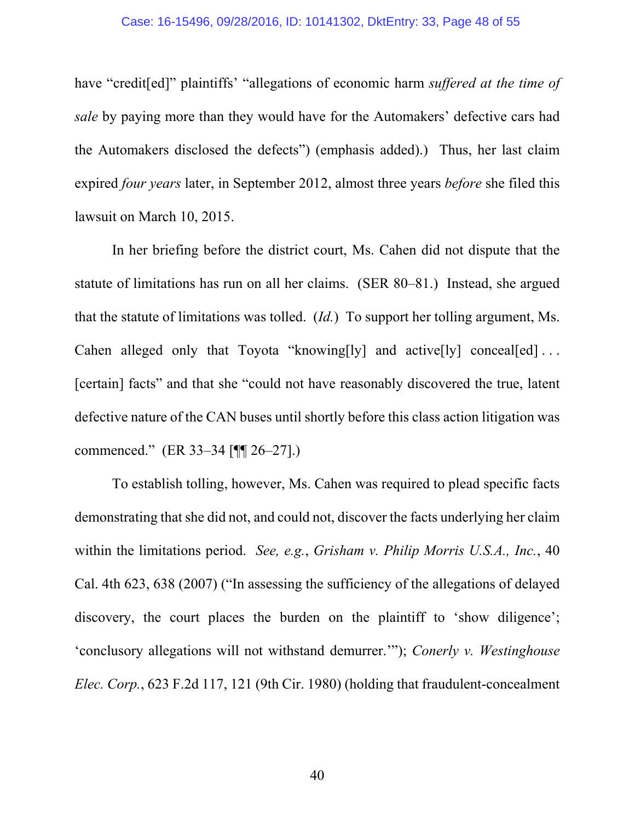have "credit[ed]" plaintiffs' "allegations of economic harm *suffered at the time of sale* by paying more than they would have for the Automakers' defective cars had the Automakers disclosed the defects") (emphasis added).) Thus, her last claim expired *four years* later, in September 2012, almost three years *before* she filed this lawsuit on March 10, 2015.

In her briefing before the district court, Ms. Cahen did not dispute that the statute of limitations has run on all her claims. (SER 80–81.) Instead, she argued that the statute of limitations was tolled. (*Id.*) To support her tolling argument, Ms. Cahen alleged only that Toyota "knowing[ly] and active[ly] conceal[ed] ... [certain] facts" and that she "could not have reasonably discovered the true, latent defective nature of the CAN buses until shortly before this class action litigation was commenced." (ER 33–34 [¶¶ 26–27].)

To establish tolling, however, Ms. Cahen was required to plead specific facts demonstrating that she did not, and could not, discover the facts underlying her claim within the limitations period. *See, e.g.*, *Grisham v. Philip Morris U.S.A., Inc.*, 40 Cal. 4th 623, 638 (2007) ("In assessing the sufficiency of the allegations of delayed discovery, the court places the burden on the plaintiff to 'show diligence'; 'conclusory allegations will not withstand demurrer.'"); *Conerly v. Westinghouse Elec. Corp.*, 623 F.2d 117, 121 (9th Cir. 1980) (holding that fraudulent-concealment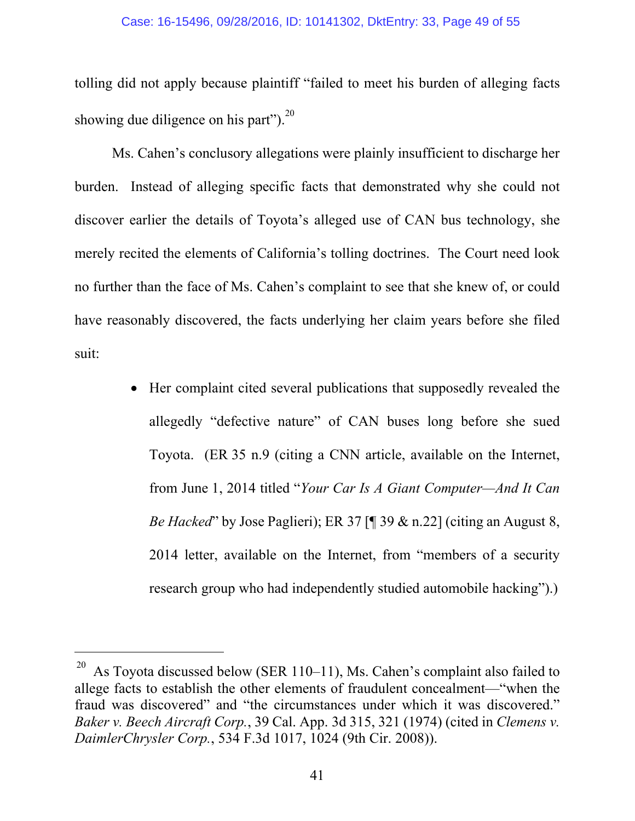tolling did not apply because plaintiff "failed to meet his burden of alleging facts showing due diligence on his part"). $^{20}$ 

Ms. Cahen's conclusory allegations were plainly insufficient to discharge her burden. Instead of alleging specific facts that demonstrated why she could not discover earlier the details of Toyota's alleged use of CAN bus technology, she merely recited the elements of California's tolling doctrines. The Court need look no further than the face of Ms. Cahen's complaint to see that she knew of, or could have reasonably discovered, the facts underlying her claim years before she filed suit:

> Her complaint cited several publications that supposedly revealed the allegedly "defective nature" of CAN buses long before she sued Toyota. (ER 35 n.9 (citing a CNN article, available on the Internet, from June 1, 2014 titled "*Your Car Is A Giant Computer—And It Can Be Hacked*" by Jose Paglieri); ER 37 [¶ 39 & n.22] (citing an August 8, 2014 letter, available on the Internet, from "members of a security research group who had independently studied automobile hacking").)

-

As Toyota discussed below (SER 110–11), Ms. Cahen's complaint also failed to allege facts to establish the other elements of fraudulent concealment—"when the fraud was discovered" and "the circumstances under which it was discovered." *Baker v. Beech Aircraft Corp.*, 39 Cal. App. 3d 315, 321 (1974) (cited in *Clemens v. DaimlerChrysler Corp.*, 534 F.3d 1017, 1024 (9th Cir. 2008)).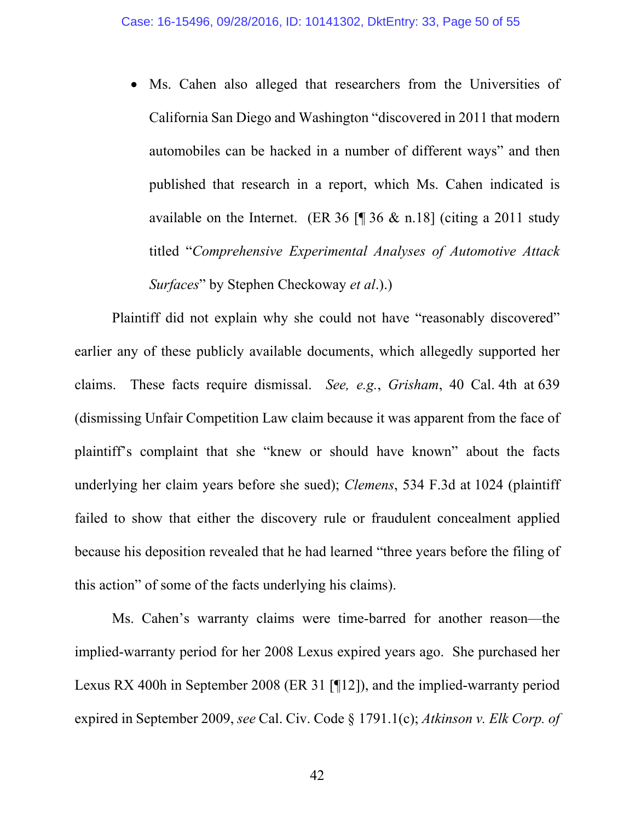Ms. Cahen also alleged that researchers from the Universities of California San Diego and Washington "discovered in 2011 that modern automobiles can be hacked in a number of different ways" and then published that research in a report, which Ms. Cahen indicated is available on the Internet. (ER 36  $\lceil \cdot \rceil$  36 & n.18] (citing a 2011 study titled "*Comprehensive Experimental Analyses of Automotive Attack Surfaces*" by Stephen Checkoway *et al*.).)

Plaintiff did not explain why she could not have "reasonably discovered" earlier any of these publicly available documents, which allegedly supported her claims. These facts require dismissal. *See, e.g.*, *Grisham*, 40 Cal. 4th at 639 (dismissing Unfair Competition Law claim because it was apparent from the face of plaintiff's complaint that she "knew or should have known" about the facts underlying her claim years before she sued); *Clemens*, 534 F.3d at 1024 (plaintiff failed to show that either the discovery rule or fraudulent concealment applied because his deposition revealed that he had learned "three years before the filing of this action" of some of the facts underlying his claims).

Ms. Cahen's warranty claims were time-barred for another reason—the implied-warranty period for her 2008 Lexus expired years ago. She purchased her Lexus RX 400h in September 2008 (ER 31 [¶12]), and the implied-warranty period expired in September 2009, *see* Cal. Civ. Code § 1791.1(c); *Atkinson v. Elk Corp. of*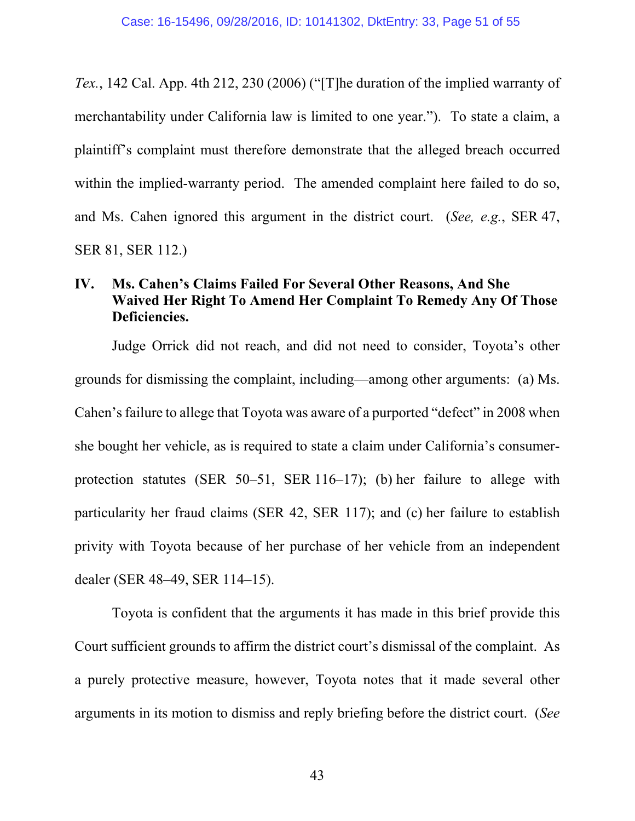*Tex.*, 142 Cal. App. 4th 212, 230 (2006) ("[T]he duration of the implied warranty of merchantability under California law is limited to one year."). To state a claim, a plaintiff's complaint must therefore demonstrate that the alleged breach occurred within the implied-warranty period. The amended complaint here failed to do so, and Ms. Cahen ignored this argument in the district court. (*See, e.g.*, SER 47, SER 81, SER 112.)

## **IV. Ms. Cahen's Claims Failed For Several Other Reasons, And She Waived Her Right To Amend Her Complaint To Remedy Any Of Those Deficiencies.**

Judge Orrick did not reach, and did not need to consider, Toyota's other grounds for dismissing the complaint, including—among other arguments: (a) Ms. Cahen's failure to allege that Toyota was aware of a purported "defect" in 2008 when she bought her vehicle, as is required to state a claim under California's consumerprotection statutes (SER 50–51, SER 116–17); (b) her failure to allege with particularity her fraud claims (SER 42, SER 117); and (c) her failure to establish privity with Toyota because of her purchase of her vehicle from an independent dealer (SER 48–49, SER 114–15).

Toyota is confident that the arguments it has made in this brief provide this Court sufficient grounds to affirm the district court's dismissal of the complaint. As a purely protective measure, however, Toyota notes that it made several other arguments in its motion to dismiss and reply briefing before the district court. (*See*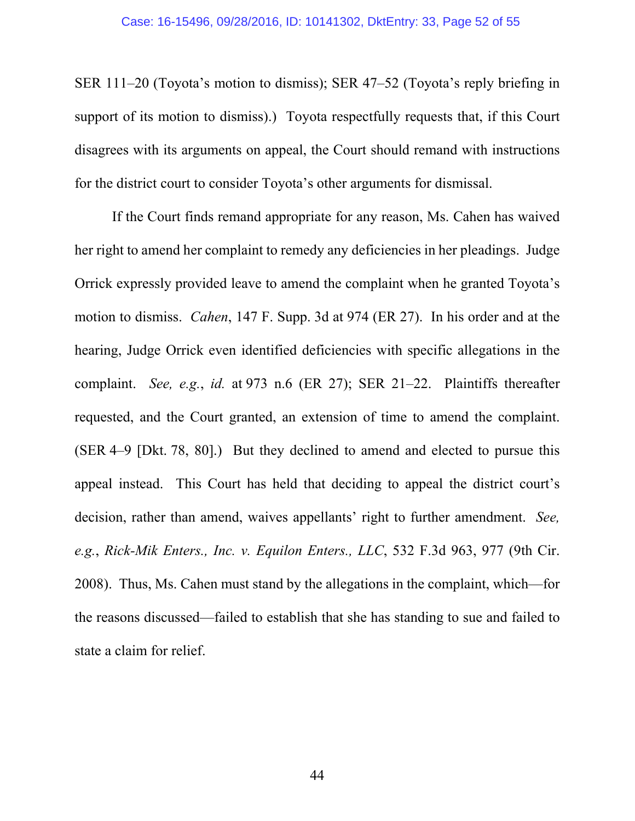SER 111–20 (Toyota's motion to dismiss); SER 47–52 (Toyota's reply briefing in support of its motion to dismiss).) Toyota respectfully requests that, if this Court disagrees with its arguments on appeal, the Court should remand with instructions for the district court to consider Toyota's other arguments for dismissal.

If the Court finds remand appropriate for any reason, Ms. Cahen has waived her right to amend her complaint to remedy any deficiencies in her pleadings. Judge Orrick expressly provided leave to amend the complaint when he granted Toyota's motion to dismiss. *Cahen*, 147 F. Supp. 3d at 974 (ER 27). In his order and at the hearing, Judge Orrick even identified deficiencies with specific allegations in the complaint. *See, e.g.*, *id.* at 973 n.6 (ER 27); SER 21–22. Plaintiffs thereafter requested, and the Court granted, an extension of time to amend the complaint. (SER 4–9 [Dkt. 78, 80].) But they declined to amend and elected to pursue this appeal instead. This Court has held that deciding to appeal the district court's decision, rather than amend, waives appellants' right to further amendment. *See, e.g.*, *Rick-Mik Enters., Inc. v. Equilon Enters., LLC*, 532 F.3d 963, 977 (9th Cir. 2008). Thus, Ms. Cahen must stand by the allegations in the complaint, which—for the reasons discussed—failed to establish that she has standing to sue and failed to state a claim for relief.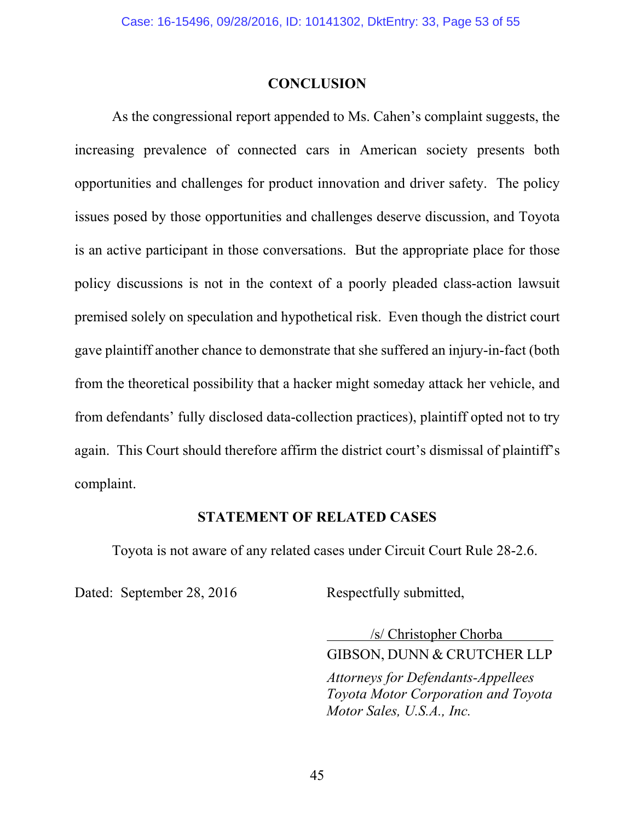### **CONCLUSION**

As the congressional report appended to Ms. Cahen's complaint suggests, the increasing prevalence of connected cars in American society presents both opportunities and challenges for product innovation and driver safety. The policy issues posed by those opportunities and challenges deserve discussion, and Toyota is an active participant in those conversations. But the appropriate place for those policy discussions is not in the context of a poorly pleaded class-action lawsuit premised solely on speculation and hypothetical risk. Even though the district court gave plaintiff another chance to demonstrate that she suffered an injury-in-fact (both from the theoretical possibility that a hacker might someday attack her vehicle, and from defendants' fully disclosed data-collection practices), plaintiff opted not to try again. This Court should therefore affirm the district court's dismissal of plaintiff's complaint.

### **STATEMENT OF RELATED CASES**

Toyota is not aware of any related cases under Circuit Court Rule 28-2.6.

Dated: September 28, 2016 Respectfully submitted,

 /s/ Christopher Chorba GIBSON, DUNN & CRUTCHER LLP *Attorneys for Defendants-Appellees Toyota Motor Corporation and Toyota Motor Sales, U.S.A., Inc.*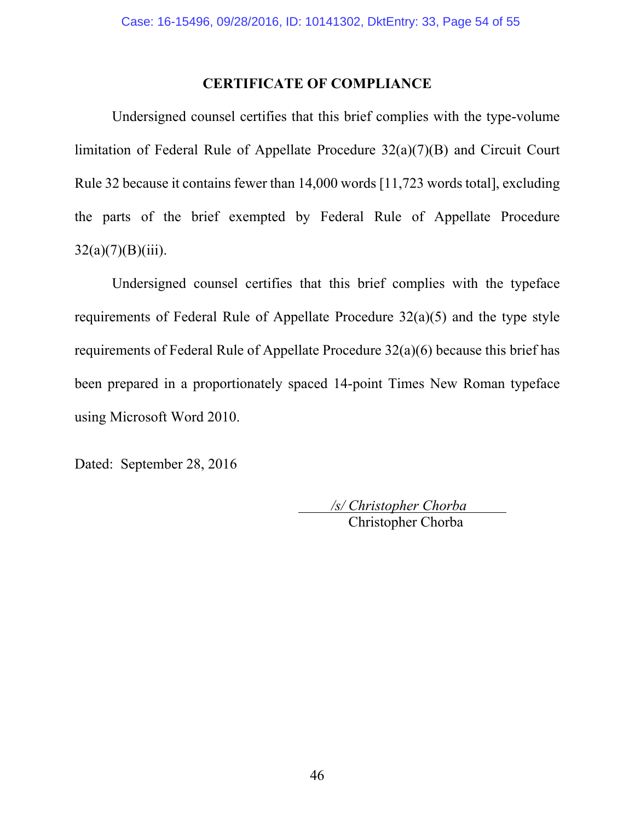### **CERTIFICATE OF COMPLIANCE**

Undersigned counsel certifies that this brief complies with the type-volume limitation of Federal Rule of Appellate Procedure 32(a)(7)(B) and Circuit Court Rule 32 because it contains fewer than 14,000 words [11,723 words total], excluding the parts of the brief exempted by Federal Rule of Appellate Procedure  $32(a)(7)(B)(iii)$ .

Undersigned counsel certifies that this brief complies with the typeface requirements of Federal Rule of Appellate Procedure 32(a)(5) and the type style requirements of Federal Rule of Appellate Procedure 32(a)(6) because this brief has been prepared in a proportionately spaced 14-point Times New Roman typeface using Microsoft Word 2010.

Dated: September 28, 2016

 */s/ Christopher Chorba*  Christopher Chorba